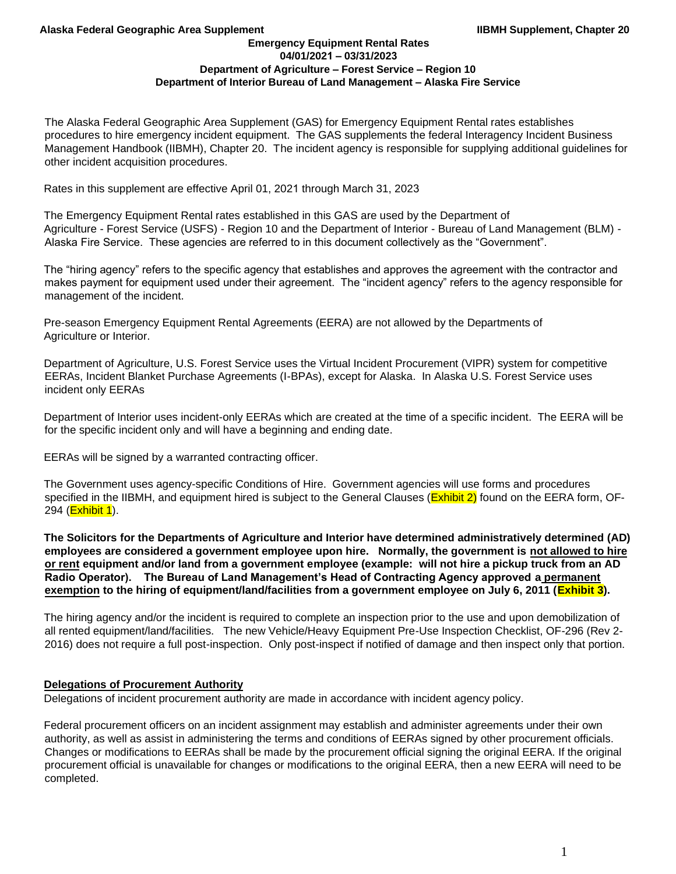The Alaska Federal Geographic Area Supplement (GAS) for Emergency Equipment Rental rates establishes procedures to hire emergency incident equipment. The GAS supplements the federal Interagency Incident Business Management Handbook (IIBMH), Chapter 20. The incident agency is responsible for supplying additional guidelines for other incident acquisition procedures.

Rates in this supplement are effective April 01, 2021 through March 31, 2023

The Emergency Equipment Rental rates established in this GAS are used by the Department of Agriculture - Forest Service (USFS) - Region 10 and the Department of Interior - Bureau of Land Management (BLM) - Alaska Fire Service. These agencies are referred to in this document collectively as the "Government".

The "hiring agency" refers to the specific agency that establishes and approves the agreement with the contractor and makes payment for equipment used under their agreement. The "incident agency" refers to the agency responsible for management of the incident.

Pre-season Emergency Equipment Rental Agreements (EERA) are not allowed by the Departments of Agriculture or Interior.

Department of Agriculture, U.S. Forest Service uses the Virtual Incident Procurement (VIPR) system for competitive EERAs, Incident Blanket Purchase Agreements (I-BPAs), except for Alaska. In Alaska U.S. Forest Service uses incident only EERAs

Department of Interior uses incident-only EERAs which are created at the time of a specific incident. The EERA will be for the specific incident only and will have a beginning and ending date.

EERAs will be signed by a warranted contracting officer.

The Government uses agency-specific Conditions of Hire. Government agencies will use forms and procedures specified in the IIBMH, and equipment hired is subject to the General Clauses (**Exhibit 2)** found on the EERA form, OF-294 (**Exhibit 1**).

**The Solicitors for the Departments of Agriculture and Interior have determined administratively determined (AD) employees are considered a government employee upon hire. Normally, the government is not allowed to hire or rent equipment and/or land from a government employee (example: will not hire a pickup truck from an AD Radio Operator). The Bureau of Land Management's Head of Contracting Agency approved a permanent exemption to the hiring of equipment/land/facilities from a government employee on July 6, 2011 (Exhibit 3).**

The hiring agency and/or the incident is required to complete an inspection prior to the use and upon demobilization of all rented equipment/land/facilities. The new Vehicle/Heavy Equipment Pre-Use Inspection Checklist, OF-296 (Rev 2- 2016) does not require a full post-inspection. Only post-inspect if notified of damage and then inspect only that portion.

### **Delegations of Procurement Authority**

Delegations of incident procurement authority are made in accordance with incident agency policy.

Federal procurement officers on an incident assignment may establish and administer agreements under their own authority, as well as assist in administering the terms and conditions of EERAs signed by other procurement officials. Changes or modifications to EERAs shall be made by the procurement official signing the original EERA. If the original procurement official is unavailable for changes or modifications to the original EERA, then a new EERA will need to be completed.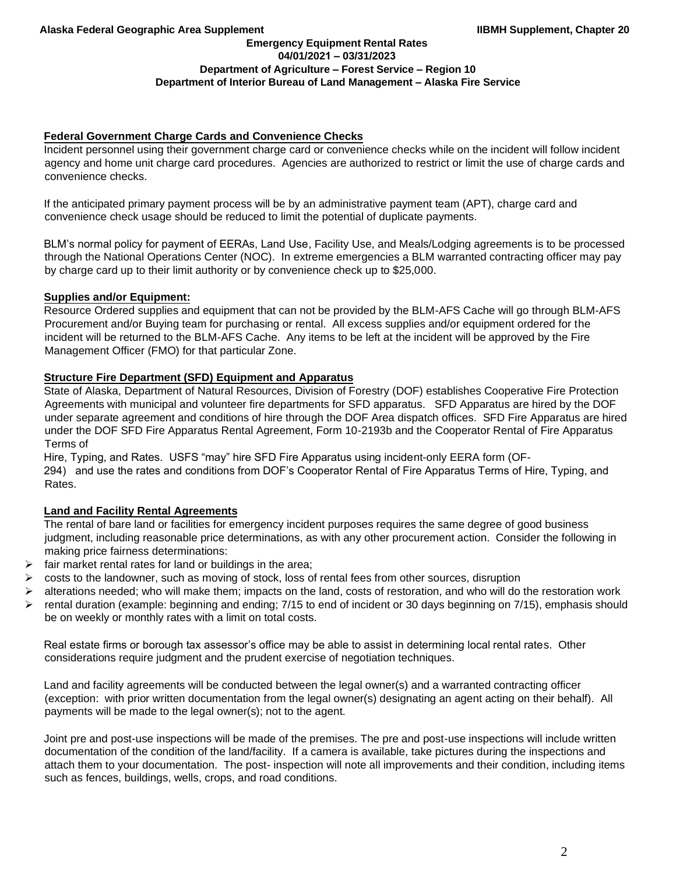#### **Emergency Equipment Rental Rates 04/01/2021 – 03/31/2023 Department of Agriculture – Forest Service – Region 10 Department of Interior Bureau of Land Management – Alaska Fire Service**

## **Federal Government Charge Cards and Convenience Checks**

Incident personnel using their government charge card or convenience checks while on the incident will follow incident agency and home unit charge card procedures. Agencies are authorized to restrict or limit the use of charge cards and convenience checks.

If the anticipated primary payment process will be by an administrative payment team (APT), charge card and convenience check usage should be reduced to limit the potential of duplicate payments.

BLM's normal policy for payment of EERAs, Land Use, Facility Use, and Meals/Lodging agreements is to be processed through the National Operations Center (NOC). In extreme emergencies a BLM warranted contracting officer may pay by charge card up to their limit authority or by convenience check up to \$25,000.

## **Supplies and/or Equipment:**

Resource Ordered supplies and equipment that can not be provided by the BLM-AFS Cache will go through BLM-AFS Procurement and/or Buying team for purchasing or rental. All excess supplies and/or equipment ordered for the incident will be returned to the BLM-AFS Cache. Any items to be left at the incident will be approved by the Fire Management Officer (FMO) for that particular Zone.

## **Structure Fire Department (SFD) Equipment and Apparatus**

State of Alaska, Department of Natural Resources, Division of Forestry (DOF) establishes Cooperative Fire Protection Agreements with municipal and volunteer fire departments for SFD apparatus. SFD Apparatus are hired by the DOF under separate agreement and conditions of hire through the DOF Area dispatch offices. SFD Fire Apparatus are hired under the DOF SFD Fire Apparatus Rental Agreement, Form 10-2193b and the Cooperator Rental of Fire Apparatus Terms of

Hire, Typing, and Rates. USFS "may" hire SFD Fire Apparatus using incident-only EERA form (OF-294) and use the rates and conditions from DOF's Cooperator Rental of Fire Apparatus Terms of Hire, Typing, and Rates.

# **Land and Facility Rental Agreements**

The rental of bare land or facilities for emergency incident purposes requires the same degree of good business judgment, including reasonable price determinations, as with any other procurement action. Consider the following in making price fairness determinations:

- fair market rental rates for land or buildings in the area;
- $\triangleright$  costs to the landowner, such as moving of stock, loss of rental fees from other sources, disruption
- ➢ alterations needed; who will make them; impacts on the land, costs of restoration, and who will do the restoration work
- $\triangleright$  rental duration (example: beginning and ending; 7/15 to end of incident or 30 days beginning on 7/15), emphasis should be on weekly or monthly rates with a limit on total costs.

Real estate firms or borough tax assessor's office may be able to assist in determining local rental rates. Other considerations require judgment and the prudent exercise of negotiation techniques.

Land and facility agreements will be conducted between the legal owner(s) and a warranted contracting officer (exception: with prior written documentation from the legal owner(s) designating an agent acting on their behalf). All payments will be made to the legal owner(s); not to the agent.

Joint pre and post-use inspections will be made of the premises. The pre and post-use inspections will include written documentation of the condition of the land/facility. If a camera is available, take pictures during the inspections and attach them to your documentation. The post- inspection will note all improvements and their condition, including items such as fences, buildings, wells, crops, and road conditions.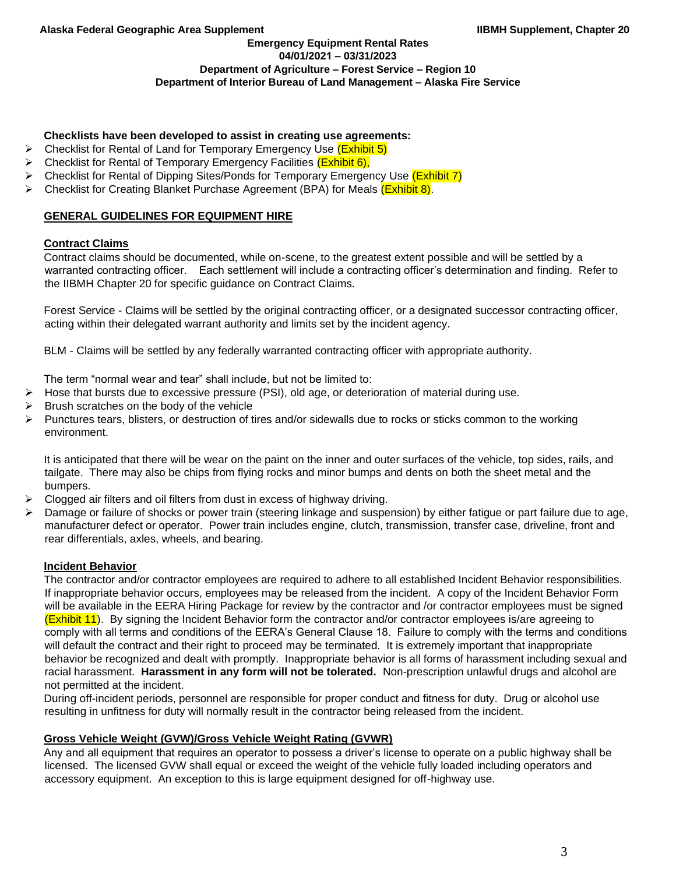### **Emergency Equipment Rental Rates 04/01/2021 – 03/31/2023 Department of Agriculture – Forest Service – Region 10 Department of Interior Bureau of Land Management – Alaska Fire Service**

## **Checklists have been developed to assist in creating use agreements:**

- ➢ Checklist for Rental of Land for Temporary Emergency Use (Exhibit 5)
- Checklist for Rental of Temporary Emergency Facilities (Exhibit 6),
- $\triangleright$  Checklist for Rental of Dipping Sites/Ponds for Temporary Emergency Use (Exhibit 7)
- ➢ Checklist for Creating Blanket Purchase Agreement (BPA) for Meals (Exhibit 8).

## **GENERAL GUIDELINES FOR EQUIPMENT HIRE**

## **Contract Claims**

Contract claims should be documented, while on-scene, to the greatest extent possible and will be settled by a warranted contracting officer. Each settlement will include a contracting officer's determination and finding. Refer to the IIBMH Chapter 20 for specific guidance on Contract Claims.

Forest Service - Claims will be settled by the original contracting officer, or a designated successor contracting officer, acting within their delegated warrant authority and limits set by the incident agency.

BLM - Claims will be settled by any federally warranted contracting officer with appropriate authority.

The term "normal wear and tear" shall include, but not be limited to:

- ➢ Hose that bursts due to excessive pressure (PSI), old age, or deterioration of material during use.
- ➢ Brush scratches on the body of the vehicle
- ➢ Punctures tears, blisters, or destruction of tires and/or sidewalls due to rocks or sticks common to the working environment.

It is anticipated that there will be wear on the paint on the inner and outer surfaces of the vehicle, top sides, rails, and tailgate. There may also be chips from flying rocks and minor bumps and dents on both the sheet metal and the bumpers.

- ➢ Clogged air filters and oil filters from dust in excess of highway driving.
- ➢ Damage or failure of shocks or power train (steering linkage and suspension) by either fatigue or part failure due to age, manufacturer defect or operator. Power train includes engine, clutch, transmission, transfer case, driveline, front and rear differentials, axles, wheels, and bearing.

### **Incident Behavior**

The contractor and/or contractor employees are required to adhere to all established Incident Behavior responsibilities. If inappropriate behavior occurs, employees may be released from the incident. A copy of the Incident Behavior Form will be available in the EERA Hiring Package for review by the contractor and /or contractor employees must be signed (Exhibit 11). By signing the Incident Behavior form the contractor and/or contractor employees is/are agreeing to comply with all terms and conditions of the EERA's General Clause 18. Failure to comply with the terms and conditions will default the contract and their right to proceed may be terminated. It is extremely important that inappropriate behavior be recognized and dealt with promptly. Inappropriate behavior is all forms of harassment including sexual and racial harassment. **Harassment in any form will not be tolerated.** Non-prescription unlawful drugs and alcohol are not permitted at the incident.

During off-incident periods, personnel are responsible for proper conduct and fitness for duty. Drug or alcohol use resulting in unfitness for duty will normally result in the contractor being released from the incident.

### **Gross Vehicle Weight (GVW)/Gross Vehicle Weight Rating (GVWR)**

Any and all equipment that requires an operator to possess a driver's license to operate on a public highway shall be licensed. The licensed GVW shall equal or exceed the weight of the vehicle fully loaded including operators and accessory equipment. An exception to this is large equipment designed for off-highway use.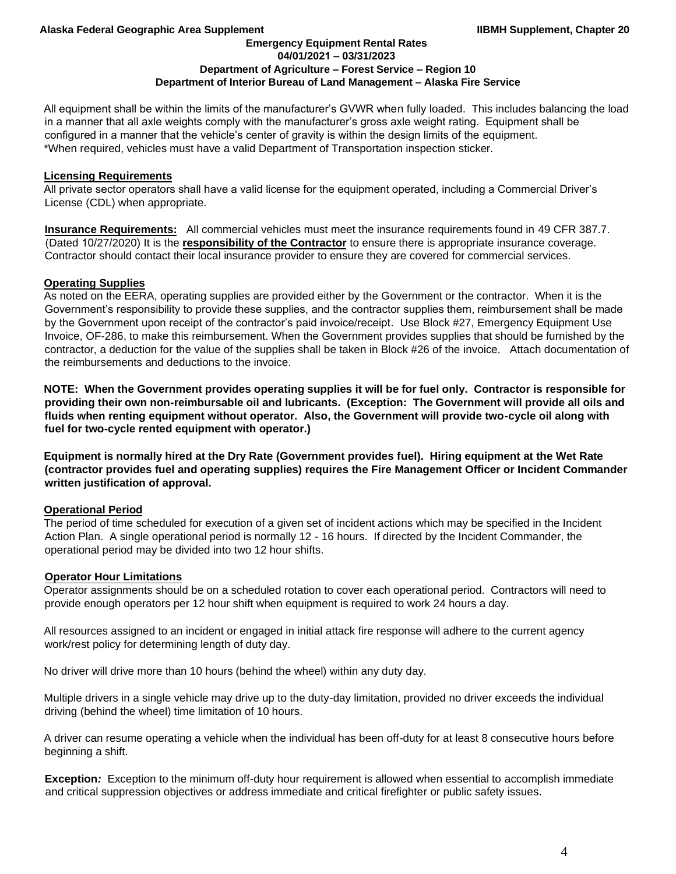**Emergency Equipment Rental Rates 04/01/2021 – 03/31/2023**

### **Department of Agriculture – Forest Service – Region 10**

### **Department of Interior Bureau of Land Management – Alaska Fire Service**

All equipment shall be within the limits of the manufacturer's GVWR when fully loaded. This includes balancing the load in a manner that all axle weights comply with the manufacturer's gross axle weight rating. Equipment shall be configured in a manner that the vehicle's center of gravity is within the design limits of the equipment. \*When required, vehicles must have a valid Department of Transportation inspection sticker.

## **Licensing Requirements**

All private sector operators shall have a valid license for the equipment operated, including a Commercial Driver's License (CDL) when appropriate.

**Insurance Requirements:** All commercial vehicles must meet the insurance requirements found in 49 CFR 387.7. (Dated 10/27/2020) It is the **responsibility of the Contractor** to ensure there is appropriate insurance coverage. Contractor should contact their local insurance provider to ensure they are covered for commercial services.

## **Operating Supplies**

As noted on the EERA, operating supplies are provided either by the Government or the contractor. When it is the Government's responsibility to provide these supplies, and the contractor supplies them, reimbursement shall be made by the Government upon receipt of the contractor's paid invoice/receipt. Use Block #27, Emergency Equipment Use Invoice, OF-286, to make this reimbursement. When the Government provides supplies that should be furnished by the contractor, a deduction for the value of the supplies shall be taken in Block #26 of the invoice. Attach documentation of the reimbursements and deductions to the invoice.

**NOTE: When the Government provides operating supplies it will be for fuel only. Contractor is responsible for providing their own non-reimbursable oil and lubricants. (Exception: The Government will provide all oils and fluids when renting equipment without operator. Also, the Government will provide two-cycle oil along with fuel for two-cycle rented equipment with operator.)** 

**Equipment is normally hired at the Dry Rate (Government provides fuel). Hiring equipment at the Wet Rate (contractor provides fuel and operating supplies) requires the Fire Management Officer or Incident Commander written justification of approval.** 

## **Operational Period**

The period of time scheduled for execution of a given set of incident actions which may be specified in the Incident Action Plan. A single operational period is normally 12 - 16 hours. If directed by the Incident Commander, the operational period may be divided into two 12 hour shifts.

### **Operator Hour Limitations**

Operator assignments should be on a scheduled rotation to cover each operational period. Contractors will need to provide enough operators per 12 hour shift when equipment is required to work 24 hours a day.

All resources assigned to an incident or engaged in initial attack fire response will adhere to the current agency work/rest policy for determining length of duty day.

No driver will drive more than 10 hours (behind the wheel) within any duty day.

Multiple drivers in a single vehicle may drive up to the duty-day limitation, provided no driver exceeds the individual driving (behind the wheel) time limitation of 10 hours.

A driver can resume operating a vehicle when the individual has been off-duty for at least 8 consecutive hours before beginning a shift.

**Exception***:* Exception to the minimum off-duty hour requirement is allowed when essential to accomplish immediate and critical suppression objectives or address immediate and critical firefighter or public safety issues.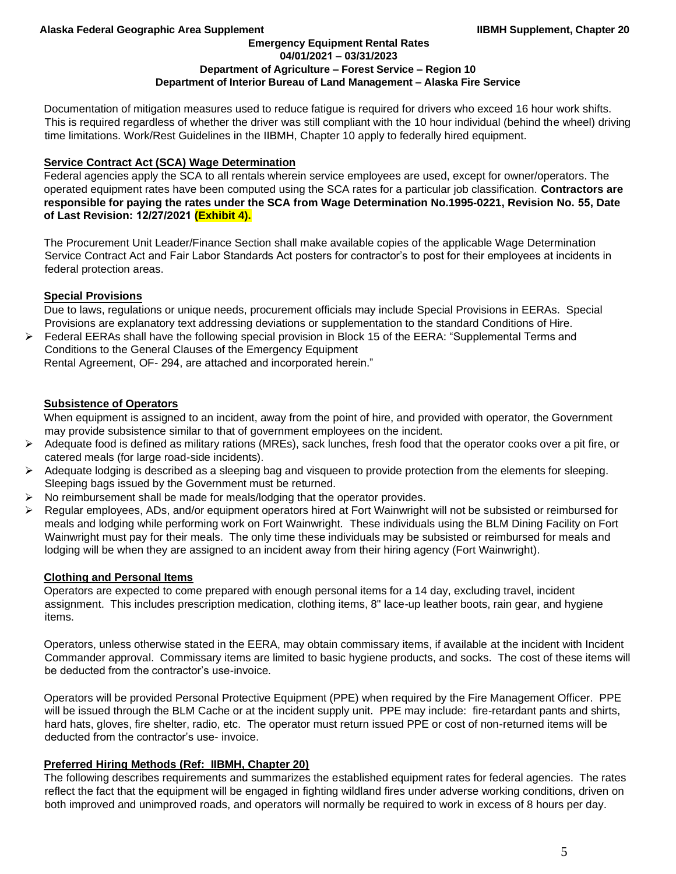**Emergency Equipment Rental Rates 04/01/2021 – 03/31/2023**

### **Department of Agriculture – Forest Service – Region 10**

## **Department of Interior Bureau of Land Management – Alaska Fire Service**

Documentation of mitigation measures used to reduce fatigue is required for drivers who exceed 16 hour work shifts. This is required regardless of whether the driver was still compliant with the 10 hour individual (behind the wheel) driving time limitations. Work/Rest Guidelines in the IIBMH, Chapter 10 apply to federally hired equipment.

## **Service Contract Act (SCA) Wage Determination**

Federal agencies apply the SCA to all rentals wherein service employees are used, except for owner/operators. The operated equipment rates have been computed using the SCA rates for a particular job classification. **Contractors are responsible for paying the rates under the SCA from Wage Determination No.1995-0221, Revision No. 55, Date of Last Revision: 12/27/2021 (Exhibit 4).**

The Procurement Unit Leader/Finance Section shall make available copies of the applicable Wage Determination Service Contract Act and Fair Labor Standards Act posters for contractor's to post for their employees at incidents in federal protection areas.

## **Special Provisions**

Due to laws, regulations or unique needs, procurement officials may include Special Provisions in EERAs. Special Provisions are explanatory text addressing deviations or supplementation to the standard Conditions of Hire.

➢ Federal EERAs shall have the following special provision in Block 15 of the EERA: "Supplemental Terms and Conditions to the General Clauses of the Emergency Equipment

Rental Agreement, OF- 294, are attached and incorporated herein."

## **Subsistence of Operators**

When equipment is assigned to an incident, away from the point of hire, and provided with operator, the Government may provide subsistence similar to that of government employees on the incident.

- $\triangleright$  Adequate food is defined as military rations (MREs), sack lunches, fresh food that the operator cooks over a pit fire, or catered meals (for large road-side incidents).
- $\triangleright$  Adequate lodging is described as a sleeping bag and visqueen to provide protection from the elements for sleeping. Sleeping bags issued by the Government must be returned.
- ➢ No reimbursement shall be made for meals/lodging that the operator provides.
- ➢ Regular employees, ADs, and/or equipment operators hired at Fort Wainwright will not be subsisted or reimbursed for meals and lodging while performing work on Fort Wainwright. These individuals using the BLM Dining Facility on Fort Wainwright must pay for their meals. The only time these individuals may be subsisted or reimbursed for meals and lodging will be when they are assigned to an incident away from their hiring agency (Fort Wainwright).

## **Clothing and Personal Items**

Operators are expected to come prepared with enough personal items for a 14 day, excluding travel, incident assignment. This includes prescription medication, clothing items, 8" lace-up leather boots, rain gear, and hygiene items.

Operators, unless otherwise stated in the EERA, may obtain commissary items, if available at the incident with Incident Commander approval. Commissary items are limited to basic hygiene products, and socks. The cost of these items will be deducted from the contractor's use-invoice.

Operators will be provided Personal Protective Equipment (PPE) when required by the Fire Management Officer. PPE will be issued through the BLM Cache or at the incident supply unit. PPE may include: fire-retardant pants and shirts, hard hats, gloves, fire shelter, radio, etc. The operator must return issued PPE or cost of non-returned items will be deducted from the contractor's use- invoice.

## **Preferred Hiring Methods (Ref: IIBMH, Chapter 20)**

The following describes requirements and summarizes the established equipment rates for federal agencies. The rates reflect the fact that the equipment will be engaged in fighting wildland fires under adverse working conditions, driven on both improved and unimproved roads, and operators will normally be required to work in excess of 8 hours per day.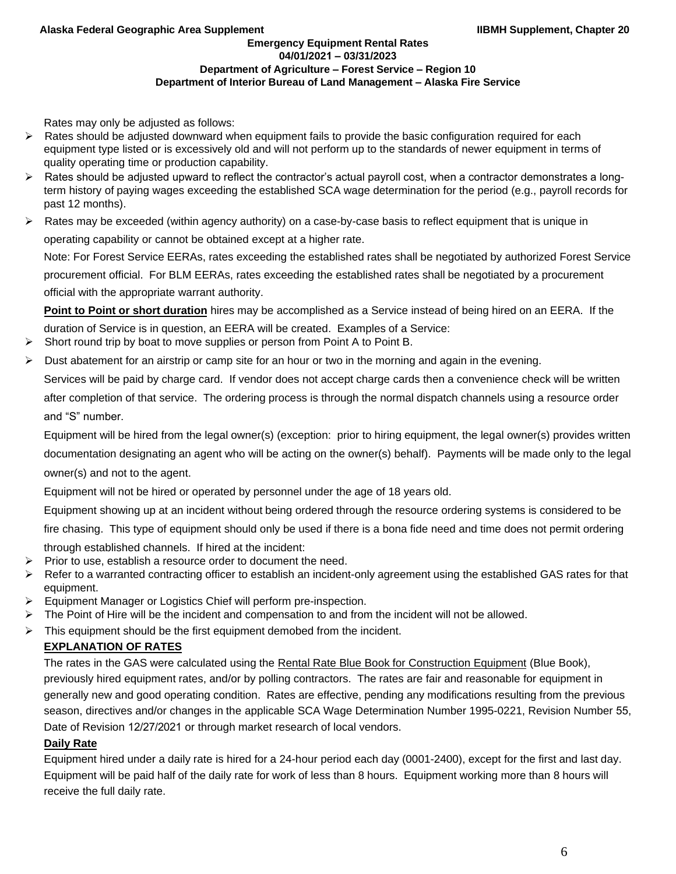Rates may only be adjusted as follows:

- $\triangleright$  Rates should be adjusted downward when equipment fails to provide the basic configuration required for each equipment type listed or is excessively old and will not perform up to the standards of newer equipment in terms of quality operating time or production capability.
- $\triangleright$  Rates should be adjusted upward to reflect the contractor's actual payroll cost, when a contractor demonstrates a longterm history of paying wages exceeding the established SCA wage determination for the period (e.g., payroll records for past 12 months).
- $\triangleright$  Rates may be exceeded (within agency authority) on a case-by-case basis to reflect equipment that is unique in operating capability or cannot be obtained except at a higher rate.

Note: For Forest Service EERAs, rates exceeding the established rates shall be negotiated by authorized Forest Service procurement official. For BLM EERAs, rates exceeding the established rates shall be negotiated by a procurement official with the appropriate warrant authority.

**Point to Point or short duration** hires may be accomplished as a Service instead of being hired on an EERA. If the duration of Service is in question, an EERA will be created. Examples of a Service:

- Short round trip by boat to move supplies or person from Point A to Point B.
- Dust abatement for an airstrip or camp site for an hour or two in the morning and again in the evening.

Services will be paid by charge card. If vendor does not accept charge cards then a convenience check will be written after completion of that service. The ordering process is through the normal dispatch channels using a resource order and "S" number.

Equipment will be hired from the legal owner(s) (exception: prior to hiring equipment, the legal owner(s) provides written documentation designating an agent who will be acting on the owner(s) behalf). Payments will be made only to the legal owner(s) and not to the agent.

Equipment will not be hired or operated by personnel under the age of 18 years old.

Equipment showing up at an incident without being ordered through the resource ordering systems is considered to be

fire chasing. This type of equipment should only be used if there is a bona fide need and time does not permit ordering

- through established channels. If hired at the incident:
- ➢ Prior to use, establish a resource order to document the need.
- ➢ Refer to a warranted contracting officer to establish an incident-only agreement using the established GAS rates for that equipment.
- ➢ Equipment Manager or Logistics Chief will perform pre-inspection.
- $\triangleright$  The Point of Hire will be the incident and compensation to and from the incident will not be allowed.
- $\triangleright$  This equipment should be the first equipment demobed from the incident.

# **EXPLANATION OF RATES**

The rates in the GAS were calculated using the Rental Rate Blue Book for Construction Equipment (Blue Book), previously hired equipment rates, and/or by polling contractors. The rates are fair and reasonable for equipment in generally new and good operating condition. Rates are effective, pending any modifications resulting from the previous season, directives and/or changes in the applicable SCA Wage Determination Number 1995-0221, Revision Number 55, Date of Revision 12/27/2021 or through market research of local vendors.

## **Daily Rate**

Equipment hired under a daily rate is hired for a 24-hour period each day (0001-2400), except for the first and last day. Equipment will be paid half of the daily rate for work of less than 8 hours. Equipment working more than 8 hours will receive the full daily rate.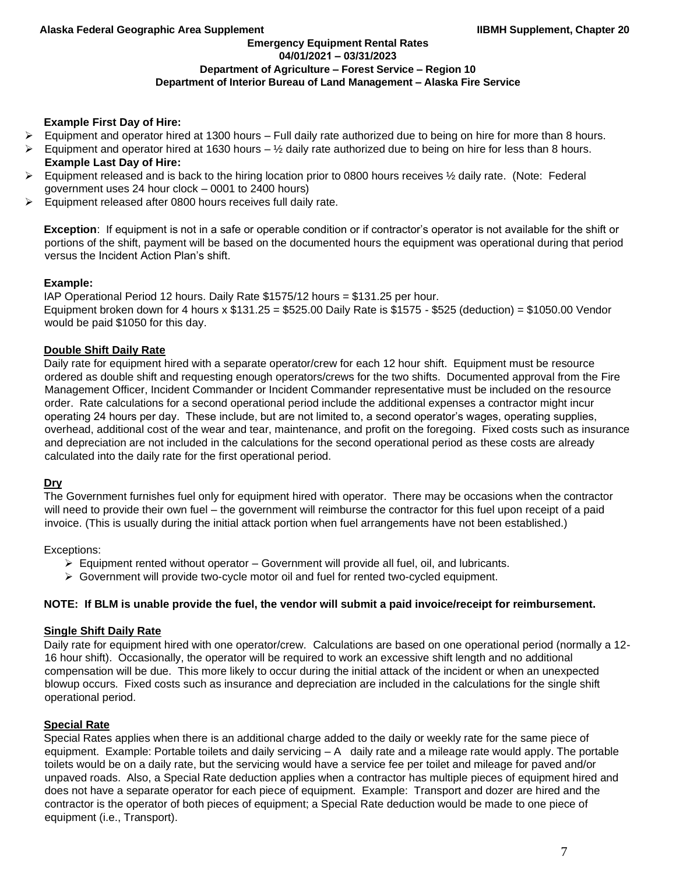**Emergency Equipment Rental Rates 04/01/2021 – 03/31/2023**

## **Department of Agriculture – Forest Service – Region 10**

**Department of Interior Bureau of Land Management – Alaska Fire Service** 

## **Example First Day of Hire:**

- $\triangleright$  Equipment and operator hired at 1300 hours Full daily rate authorized due to being on hire for more than 8 hours.
- $\triangleright$  Equipment and operator hired at 1630 hours  $\frac{1}{2}$  daily rate authorized due to being on hire for less than 8 hours. **Example Last Day of Hire:**
- $\triangleright$  Equipment released and is back to the hiring location prior to 0800 hours receives  $\frac{1}{2}$  daily rate. (Note: Federal government uses 24 hour clock – 0001 to 2400 hours)
- ➢ Equipment released after 0800 hours receives full daily rate.

**Exception**: If equipment is not in a safe or operable condition or if contractor's operator is not available for the shift or portions of the shift, payment will be based on the documented hours the equipment was operational during that period versus the Incident Action Plan's shift.

## **Example:**

IAP Operational Period 12 hours. Daily Rate \$1575/12 hours = \$131.25 per hour. Equipment broken down for 4 hours x \$131.25 = \$525.00 Daily Rate is \$1575 - \$525 (deduction) = \$1050.00 Vendor would be paid \$1050 for this day.

## **Double Shift Daily Rate**

Daily rate for equipment hired with a separate operator/crew for each 12 hour shift. Equipment must be resource ordered as double shift and requesting enough operators/crews for the two shifts. Documented approval from the Fire Management Officer, Incident Commander or Incident Commander representative must be included on the resource order. Rate calculations for a second operational period include the additional expenses a contractor might incur operating 24 hours per day. These include, but are not limited to, a second operator's wages, operating supplies, overhead, additional cost of the wear and tear, maintenance, and profit on the foregoing. Fixed costs such as insurance and depreciation are not included in the calculations for the second operational period as these costs are already calculated into the daily rate for the first operational period.

## **Dry**

The Government furnishes fuel only for equipment hired with operator. There may be occasions when the contractor will need to provide their own fuel – the government will reimburse the contractor for this fuel upon receipt of a paid invoice. (This is usually during the initial attack portion when fuel arrangements have not been established.)

Exceptions:

- $\triangleright$  Equipment rented without operator Government will provide all fuel, oil, and lubricants.
- ➢ Government will provide two-cycle motor oil and fuel for rented two-cycled equipment.

## **NOTE: If BLM is unable provide the fuel, the vendor will submit a paid invoice/receipt for reimbursement.**

## **Single Shift Daily Rate**

Daily rate for equipment hired with one operator/crew. Calculations are based on one operational period (normally a 12- 16 hour shift). Occasionally, the operator will be required to work an excessive shift length and no additional compensation will be due. This more likely to occur during the initial attack of the incident or when an unexpected blowup occurs. Fixed costs such as insurance and depreciation are included in the calculations for the single shift operational period.

## **Special Rate**

Special Rates applies when there is an additional charge added to the daily or weekly rate for the same piece of equipment. Example: Portable toilets and daily servicing – A daily rate and a mileage rate would apply. The portable toilets would be on a daily rate, but the servicing would have a service fee per toilet and mileage for paved and/or unpaved roads. Also, a Special Rate deduction applies when a contractor has multiple pieces of equipment hired and does not have a separate operator for each piece of equipment. Example: Transport and dozer are hired and the contractor is the operator of both pieces of equipment; a Special Rate deduction would be made to one piece of equipment (i.e., Transport).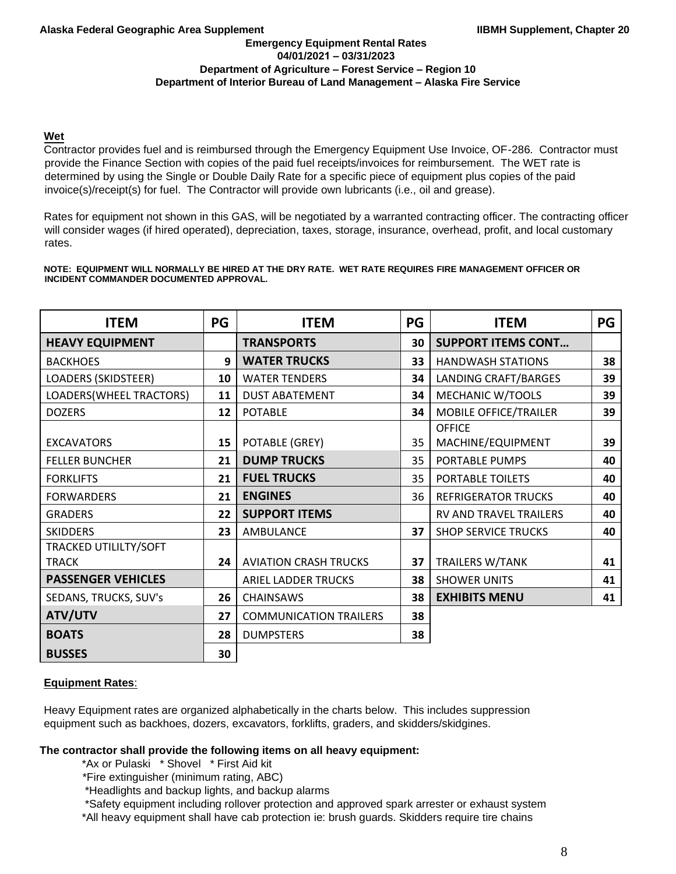## **Wet**

Contractor provides fuel and is reimbursed through the Emergency Equipment Use Invoice, OF-286. Contractor must provide the Finance Section with copies of the paid fuel receipts/invoices for reimbursement. The WET rate is determined by using the Single or Double Daily Rate for a specific piece of equipment plus copies of the paid invoice(s)/receipt(s) for fuel. The Contractor will provide own lubricants (i.e., oil and grease).

Rates for equipment not shown in this GAS, will be negotiated by a warranted contracting officer. The contracting officer will consider wages (if hired operated), depreciation, taxes, storage, insurance, overhead, profit, and local customary rates.

#### **NOTE: EQUIPMENT WILL NORMALLY BE HIRED AT THE DRY RATE. WET RATE REQUIRES FIRE MANAGEMENT OFFICER OR INCIDENT COMMANDER DOCUMENTED APPROVAL.**

| <b>ITEM</b>                | PG | <b>ITEM</b>                   | PG | <b>ITEM</b>                | PG |
|----------------------------|----|-------------------------------|----|----------------------------|----|
| <b>HEAVY EQUIPMENT</b>     |    | <b>TRANSPORTS</b>             | 30 | <b>SUPPORT ITEMS CONT</b>  |    |
| <b>BACKHOES</b>            | 9  | <b>WATER TRUCKS</b>           | 33 | <b>HANDWASH STATIONS</b>   | 38 |
| <b>LOADERS (SKIDSTEER)</b> | 10 | <b>WATER TENDERS</b>          | 34 | LANDING CRAFT/BARGES       | 39 |
| LOADERS(WHEEL TRACTORS)    | 11 | <b>DUST ABATEMENT</b>         | 34 | MECHANIC W/TOOLS           | 39 |
| <b>DOZERS</b>              | 12 | <b>POTABLE</b>                | 34 | MOBILE OFFICE/TRAILER      | 39 |
|                            |    |                               |    | <b>OFFICE</b>              |    |
| <b>EXCAVATORS</b>          | 15 | POTABLE (GREY)                | 35 | MACHINE/EQUIPMENT          | 39 |
| <b>FELLER BUNCHER</b>      | 21 | <b>DUMP TRUCKS</b>            | 35 | PORTABLE PUMPS             | 40 |
| <b>FORKLIFTS</b>           | 21 | <b>FUEL TRUCKS</b>            | 35 | PORTABLE TOILETS           | 40 |
| <b>FORWARDERS</b>          | 21 | <b>ENGINES</b>                | 36 | <b>REFRIGERATOR TRUCKS</b> | 40 |
| <b>GRADERS</b>             | 22 | <b>SUPPORT ITEMS</b>          |    | RV AND TRAVEL TRAILERS     | 40 |
| <b>SKIDDERS</b>            | 23 | AMBULANCE                     | 37 | <b>SHOP SERVICE TRUCKS</b> | 40 |
| TRACKED UTILILTY/SOFT      |    |                               |    |                            |    |
| <b>TRACK</b>               | 24 | <b>AVIATION CRASH TRUCKS</b>  | 37 | <b>TRAILERS W/TANK</b>     | 41 |
| <b>PASSENGER VEHICLES</b>  |    | ARIEL LADDER TRUCKS           | 38 | <b>SHOWER UNITS</b>        | 41 |
| SEDANS, TRUCKS, SUV's      | 26 | <b>CHAINSAWS</b>              | 38 | <b>EXHIBITS MENU</b>       | 41 |
| ATV/UTV                    | 27 | <b>COMMUNICATION TRAILERS</b> | 38 |                            |    |
| <b>BOATS</b>               | 28 | <b>DUMPSTERS</b>              | 38 |                            |    |
| <b>BUSSES</b>              | 30 |                               |    |                            |    |

## **Equipment Rates**:

Heavy Equipment rates are organized alphabetically in the charts below. This includes suppression equipment such as backhoes, dozers, excavators, forklifts, graders, and skidders/skidgines.

## **The contractor shall provide the following items on all heavy equipment:**

\*Ax or Pulaski \* Shovel \* First Aid kit

\*Fire extinguisher (minimum rating, ABC)

\*Headlights and backup lights, and backup alarms

\*Safety equipment including rollover protection and approved spark arrester or exhaust system

\*All heavy equipment shall have cab protection ie: brush guards. Skidders require tire chains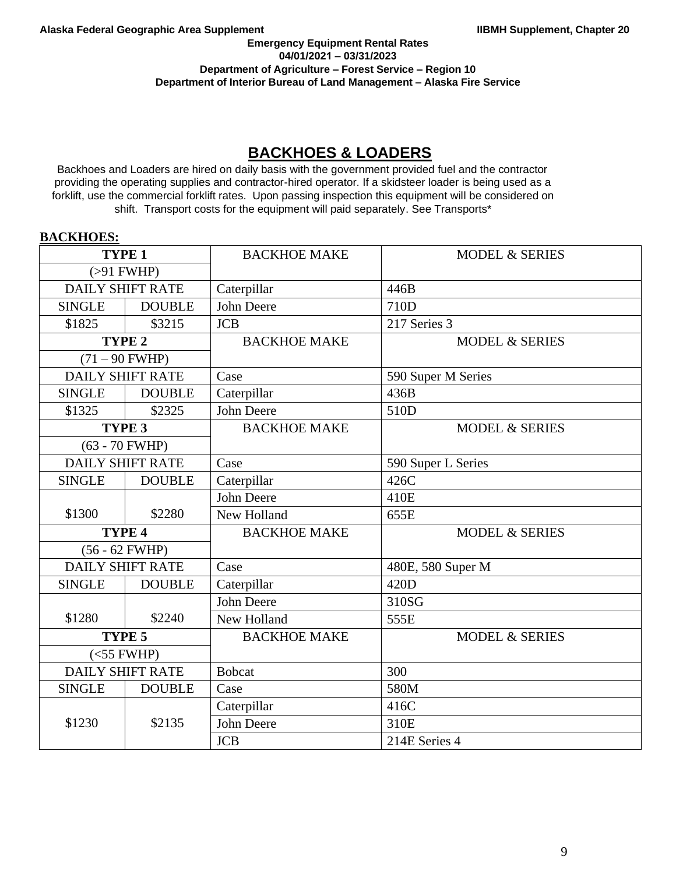### **Emergency Equipment Rental Rates 04/01/2021 – 03/31/2023 Department of Agriculture – Forest Service – Region 10 Department of Interior Bureau of Land Management – Alaska Fire Service**

# **BACKHOES & LOADERS**

Backhoes and Loaders are hired on daily basis with the government provided fuel and the contractor providing the operating supplies and contractor-hired operator. If a skidsteer loader is being used as a forklift, use the commercial forklift rates. Upon passing inspection this equipment will be considered on shift. Transport costs for the equipment will paid separately. See Transports\*

## **BACKHOES:**

| TYPE <sub>1</sub>       |                         | <b>BACKHOE MAKE</b> | <b>MODEL &amp; SERIES</b> |
|-------------------------|-------------------------|---------------------|---------------------------|
|                         | $( > 91$ FWHP)          |                     |                           |
|                         | <b>DAILY SHIFT RATE</b> | Caterpillar         | 446B                      |
| <b>SINGLE</b>           | <b>DOUBLE</b>           | John Deere          | 710D                      |
| \$1825                  | \$3215                  | <b>JCB</b>          | 217 Series 3              |
|                         | TYPE <sub>2</sub>       | <b>BACKHOE MAKE</b> | <b>MODEL &amp; SERIES</b> |
|                         | $(71 - 90$ FWHP)        |                     |                           |
|                         | <b>DAILY SHIFT RATE</b> | Case                | 590 Super M Series        |
| <b>SINGLE</b>           | <b>DOUBLE</b>           | Caterpillar         | 436B                      |
| \$1325                  | \$2325                  | John Deere          | 510D                      |
|                         | TYPE 3                  | <b>BACKHOE MAKE</b> | <b>MODEL &amp; SERIES</b> |
|                         | $(63 - 70$ FWHP)        |                     |                           |
|                         | <b>DAILY SHIFT RATE</b> | Case                | 590 Super L Series        |
| <b>SINGLE</b>           | <b>DOUBLE</b>           | Caterpillar         | 426C                      |
|                         |                         | John Deere          | 410E                      |
| \$1300                  | \$2280                  | New Holland         | 655E                      |
| TYPE 4                  |                         | <b>BACKHOE MAKE</b> | <b>MODEL &amp; SERIES</b> |
|                         | $(56 - 62$ FWHP)        |                     |                           |
|                         | <b>DAILY SHIFT RATE</b> | Case                | 480E, 580 Super M         |
| <b>SINGLE</b>           | <b>DOUBLE</b>           | Caterpillar         | 420D                      |
|                         |                         | John Deere          | 310SG                     |
| \$1280                  | \$2240                  | New Holland         | 555E                      |
| TYPE 5                  |                         | <b>BACKHOE MAKE</b> | <b>MODEL &amp; SERIES</b> |
| $(<55$ FWHP)            |                         |                     |                           |
| <b>DAILY SHIFT RATE</b> |                         | <b>Bobcat</b>       | 300                       |
| <b>SINGLE</b>           | <b>DOUBLE</b>           | Case                | 580M                      |
|                         |                         | Caterpillar         | 416C                      |
| \$1230                  | \$2135                  | John Deere          | 310E                      |
|                         |                         | <b>JCB</b>          | 214E Series 4             |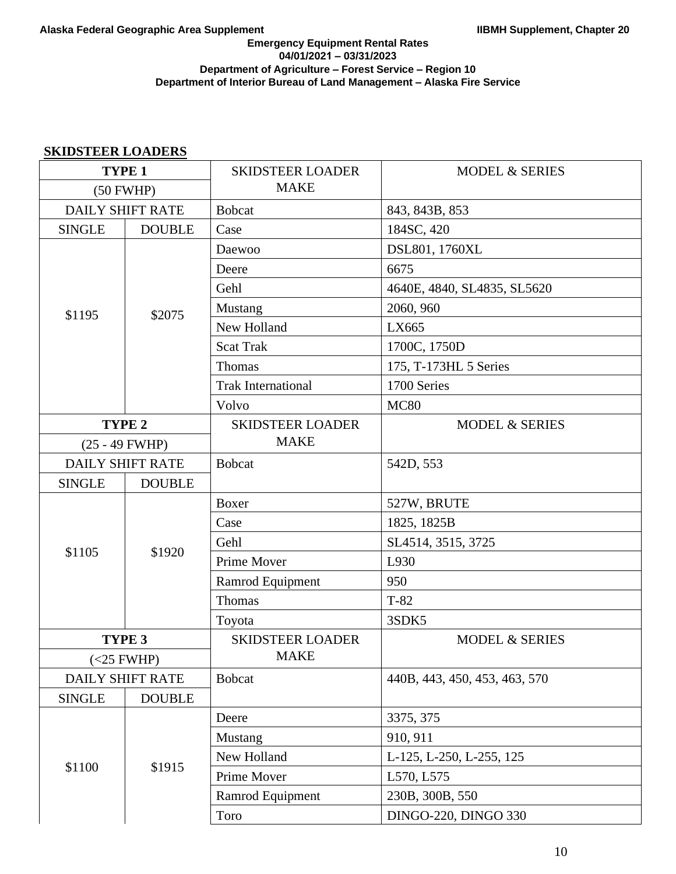## **SKIDSTEER LOADERS**

| TYPE <sub>1</sub>       |                         | <b>SKIDSTEER LOADER</b>   | <b>MODEL &amp; SERIES</b>     |
|-------------------------|-------------------------|---------------------------|-------------------------------|
| (50 FWHP)               |                         | <b>MAKE</b>               |                               |
|                         | <b>DAILY SHIFT RATE</b> | <b>Bobcat</b>             | 843, 843B, 853                |
| <b>SINGLE</b>           | <b>DOUBLE</b>           | Case                      | 184SC, 420                    |
|                         |                         | Daewoo                    | DSL801, 1760XL                |
|                         |                         | Deere                     | 6675                          |
|                         |                         | Gehl                      | 4640E, 4840, SL4835, SL5620   |
| \$1195                  | \$2075                  | Mustang                   | 2060, 960                     |
|                         |                         | New Holland               | LX665                         |
|                         |                         | <b>Scat Trak</b>          | 1700C, 1750D                  |
|                         |                         | Thomas                    | 175, T-173HL 5 Series         |
|                         |                         | <b>Trak International</b> | 1700 Series                   |
|                         |                         | Volvo                     | <b>MC80</b>                   |
|                         | TYPE <sub>2</sub>       | <b>SKIDSTEER LOADER</b>   | <b>MODEL &amp; SERIES</b>     |
| $(25 - 49$ FWHP)        |                         | <b>MAKE</b>               |                               |
| <b>DAILY SHIFT RATE</b> |                         | <b>Bobcat</b>             | 542D, 553                     |
| <b>SINGLE</b>           | <b>DOUBLE</b>           |                           |                               |
|                         |                         | Boxer                     | 527W, BRUTE                   |
| \$1105                  |                         | Case                      | 1825, 1825B                   |
|                         | \$1920                  | Gehl                      | SL4514, 3515, 3725            |
|                         |                         | Prime Mover               | L930                          |
|                         |                         | Ramrod Equipment          | 950                           |
|                         |                         | Thomas                    | $T-82$                        |
|                         |                         | Toyota                    | 3SDK5                         |
|                         | TYPE <sub>3</sub>       | <b>SKIDSTEER LOADER</b>   | <b>MODEL &amp; SERIES</b>     |
| $(<25$ FWHP)            |                         | <b>MAKE</b>               |                               |
|                         | <b>DAILY SHIFT RATE</b> | <b>Bobcat</b>             | 440B, 443, 450, 453, 463, 570 |
| <b>SINGLE</b>           | <b>DOUBLE</b>           |                           |                               |
|                         |                         | Deere                     | 3375, 375                     |
|                         |                         | Mustang                   | 910, 911                      |
|                         | \$1915                  | New Holland               | L-125, L-250, L-255, 125      |
| \$1100                  |                         | Prime Mover               | L570, L575                    |
|                         |                         | Ramrod Equipment          | 230B, 300B, 550               |
|                         |                         | Toro                      | <b>DINGO-220, DINGO 330</b>   |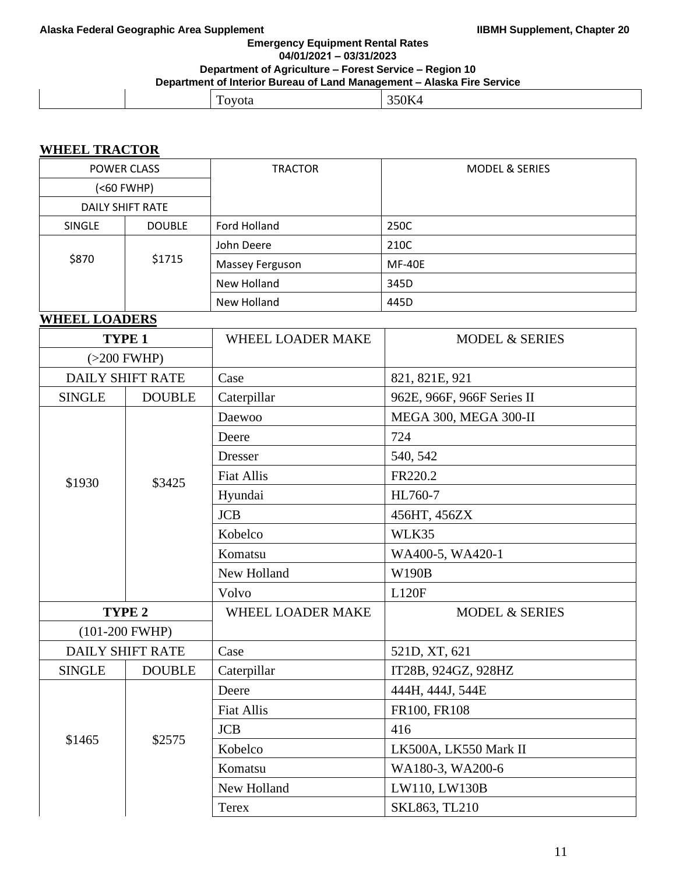**Emergency Equipment Rental Rates 04/01/2021 – 03/31/2023**

# **Department of Agriculture – Forest Service – Region 10**

**Department of Interior Bureau of Land Management – Alaska Fire Service** 

| -<br>$\mathbf{r}$<br>ota<br>.,<br>-<br>$- - - - -$ |  |
|----------------------------------------------------|--|
|----------------------------------------------------|--|

# **WHEEL TRACTOR**

| <b>POWER CLASS</b>    |                 | <b>TRACTOR</b>         | <b>MODEL &amp; SERIES</b> |
|-----------------------|-----------------|------------------------|---------------------------|
| ( <sub>60</sub> FWHP) |                 |                        |                           |
| DAILY SHIFT RATE      |                 |                        |                           |
| <b>SINGLE</b>         | <b>DOUBLE</b>   | Ford Holland           | 250C                      |
|                       |                 | John Deere             | 210C                      |
|                       | \$870<br>\$1715 | <b>Massey Ferguson</b> | <b>MF-40E</b>             |
|                       |                 | New Holland            | 345D                      |
|                       |                 | New Holland            | 445D                      |

# **WHEEL LOADERS**

| TYPE <sub>1</sub> |                         | <b>WHEEL LOADER MAKE</b> | <b>MODEL &amp; SERIES</b>  |
|-------------------|-------------------------|--------------------------|----------------------------|
| $(>200$ FWHP)     |                         |                          |                            |
|                   | <b>DAILY SHIFT RATE</b> | Case                     | 821, 821E, 921             |
| <b>SINGLE</b>     | <b>DOUBLE</b>           | Caterpillar              | 962E, 966F, 966F Series II |
|                   |                         | Daewoo                   | MEGA 300, MEGA 300-II      |
|                   |                         | Deere                    | 724                        |
|                   |                         | <b>Dresser</b>           | 540, 542                   |
| \$1930            | \$3425                  | <b>Fiat Allis</b>        | FR220.2                    |
|                   |                         | Hyundai                  | HL760-7                    |
|                   |                         | <b>JCB</b>               | 456HT, 456ZX               |
|                   |                         | Kobelco                  | WLK35                      |
|                   |                         | Komatsu                  | WA400-5, WA420-1           |
|                   |                         | New Holland              | W190B                      |
|                   |                         | Volvo                    | <b>L120F</b>               |
| TYPE <sub>2</sub> |                         | WHEEL LOADER MAKE        | <b>MODEL &amp; SERIES</b>  |
|                   | $(101-200 FWHP)$        |                          |                            |
|                   | <b>DAILY SHIFT RATE</b> | Case                     | 521D, XT, 621              |
| <b>SINGLE</b>     | <b>DOUBLE</b>           | Caterpillar              | IT28B, 924GZ, 928HZ        |
|                   |                         | Deere                    | 444H, 444J, 544E           |
|                   |                         | <b>Fiat Allis</b>        | FR100, FR108               |
| \$1465            |                         | <b>JCB</b>               | 416                        |
|                   | \$2575                  | Kobelco                  | LK500A, LK550 Mark II      |
|                   |                         | Komatsu                  | WA180-3, WA200-6           |
|                   |                         | New Holland              | LW110, LW130B              |
|                   |                         | Terex                    | SKL863, TL210              |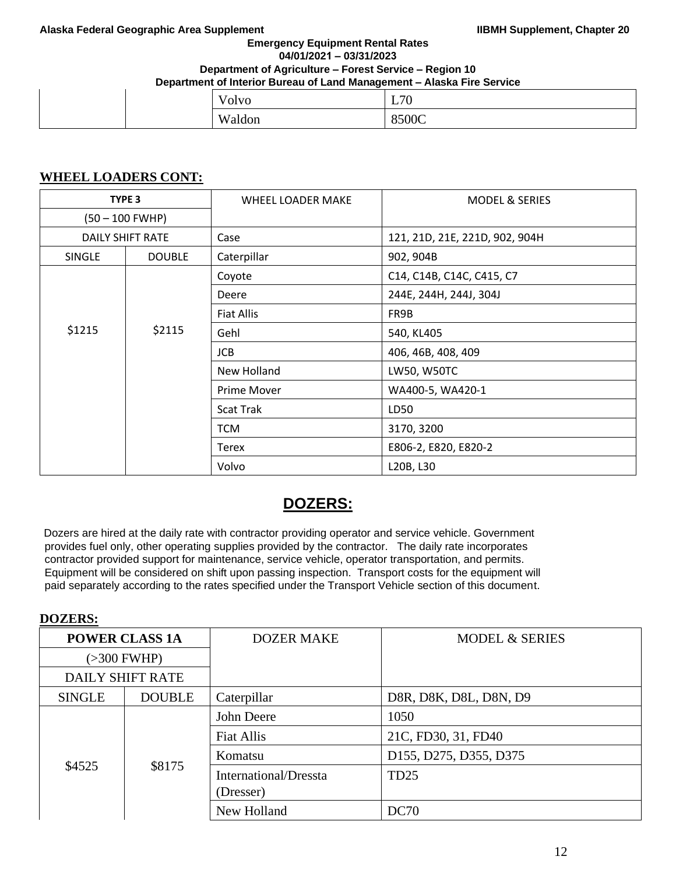#### **Emergency Equipment Rental Rates 04/01/2021 – 03/31/2023**

### **Department of Agriculture – Forest Service – Region 10**

**Department of Interior Bureau of Land Management – Alaska Fire Service** 

|  | $\overline{I}$<br>Volvo | L70   |
|--|-------------------------|-------|
|  | Waldon                  | 8500C |

## **WHEEL LOADERS CONT:**

| TYPE 3           |                  | WHEEL LOADER MAKE  | <b>MODEL &amp; SERIES</b>      |
|------------------|------------------|--------------------|--------------------------------|
| (50 - 100 FWHP)  |                  |                    |                                |
|                  | DAILY SHIFT RATE | Case               | 121, 21D, 21E, 221D, 902, 904H |
| <b>SINGLE</b>    | <b>DOUBLE</b>    | Caterpillar        | 902, 904B                      |
|                  |                  | Coyote             | C14, C14B, C14C, C415, C7      |
|                  |                  | Deere              | 244E, 244H, 244J, 304J         |
|                  |                  | <b>Fiat Allis</b>  | FR9B                           |
| \$1215<br>\$2115 |                  | Gehl               | 540, KL405                     |
|                  | <b>JCB</b>       | 406, 46B, 408, 409 |                                |
|                  |                  | New Holland        | LW50, W50TC                    |
|                  |                  | Prime Mover        | WA400-5, WA420-1               |
|                  |                  | <b>Scat Trak</b>   | LD50                           |
|                  |                  | <b>TCM</b>         | 3170, 3200                     |
|                  |                  | Terex              | E806-2, E820, E820-2           |
|                  |                  | Volvo              | L20B, L30                      |

# **DOZERS:**

Dozers are hired at the daily rate with contractor providing operator and service vehicle. Government provides fuel only, other operating supplies provided by the contractor. The daily rate incorporates contractor provided support for maintenance, service vehicle, operator transportation, and permits. Equipment will be considered on shift upon passing inspection. Transport costs for the equipment will paid separately according to the rates specified under the Transport Vehicle section of this document.

# **DOZERS:**

| <b>POWER CLASS 1A</b>   |               | <b>DOZER MAKE</b>     | <b>MODEL &amp; SERIES</b> |
|-------------------------|---------------|-----------------------|---------------------------|
| $(>300$ FWHP)           |               |                       |                           |
| <b>DAILY SHIFT RATE</b> |               |                       |                           |
| <b>SINGLE</b>           | <b>DOUBLE</b> | Caterpillar           | D8R, D8K, D8L, D8N, D9    |
| \$4525                  | \$8175        | John Deere            | 1050                      |
|                         |               | Fiat Allis            | 21C, FD30, 31, FD40       |
|                         |               | Komatsu               | D155, D275, D355, D375    |
|                         |               | International/Dressta | TD <sub>25</sub>          |
|                         |               | (Dresser)             |                           |
|                         |               | New Holland           | DC70                      |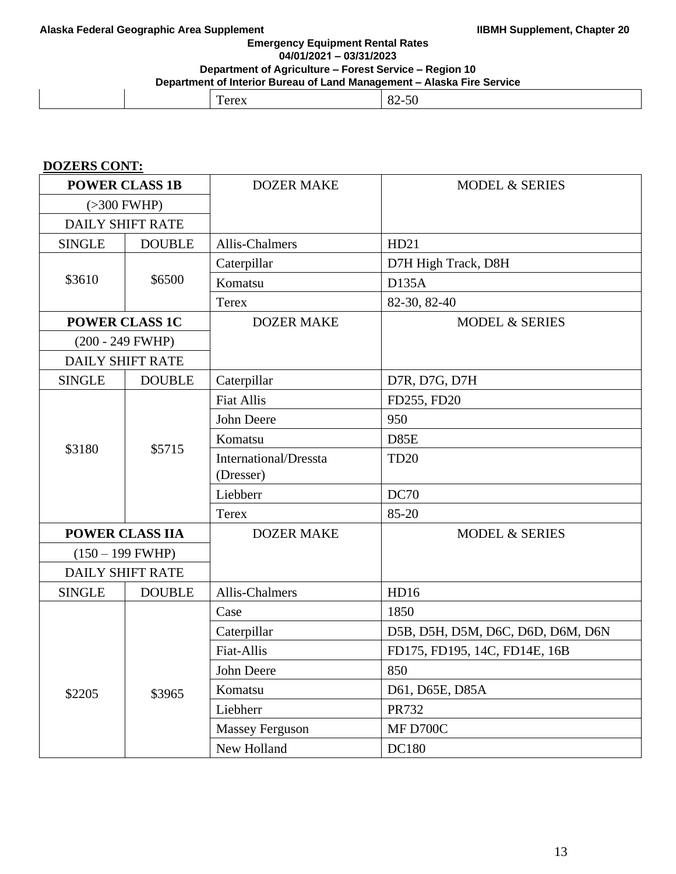**Emergency Equipment Rental Rates 04/01/2021 – 03/31/2023**

# **Department of Agriculture – Forest Service – Region 10**

**Department of Interior Bureau of Land Management – Alaska Fire Service** 

| --<br>____<br>_____ | __     |  |
|---------------------|--------|--|
|                     | $   -$ |  |

# **DOZERS CONT:**

| <b>POWER CLASS 1B</b>   |                         | <b>DOZER MAKE</b>            | <b>MODEL &amp; SERIES</b>         |
|-------------------------|-------------------------|------------------------------|-----------------------------------|
| $(>300$ FWHP)           |                         |                              |                                   |
| <b>DAILY SHIFT RATE</b> |                         |                              |                                   |
| <b>SINGLE</b>           | <b>DOUBLE</b>           | <b>Allis-Chalmers</b>        | HD21                              |
|                         |                         | Caterpillar                  | D7H High Track, D8H               |
| \$3610                  | \$6500                  | Komatsu                      | D135A                             |
|                         |                         | <b>Terex</b>                 | 82-30, 82-40                      |
|                         | <b>POWER CLASS 1C</b>   | <b>DOZER MAKE</b>            | <b>MODEL &amp; SERIES</b>         |
|                         | $(200 - 249$ FWHP)      |                              |                                   |
|                         | <b>DAILY SHIFT RATE</b> |                              |                                   |
| <b>SINGLE</b>           | <b>DOUBLE</b>           | Caterpillar                  | D7R, D7G, D7H                     |
|                         |                         | <b>Fiat Allis</b>            | FD255, FD20                       |
|                         |                         | John Deere                   | 950                               |
|                         |                         | Komatsu                      | D85E                              |
| \$3180                  | \$5715                  | <b>International/Dressta</b> | <b>TD20</b>                       |
|                         |                         | (Dresser)                    |                                   |
|                         |                         | Liebberr                     | <b>DC70</b>                       |
|                         |                         | Terex                        | 85-20                             |
|                         | <b>POWER CLASS IIA</b>  | <b>DOZER MAKE</b>            | <b>MODEL &amp; SERIES</b>         |
|                         | $(150 - 199$ FWHP)      |                              |                                   |
|                         | <b>DAILY SHIFT RATE</b> |                              |                                   |
| <b>SINGLE</b>           | <b>DOUBLE</b>           | Allis-Chalmers               | HD16                              |
|                         |                         | Case                         | 1850                              |
|                         |                         | Caterpillar                  | D5B, D5H, D5M, D6C, D6D, D6M, D6N |
|                         |                         | Fiat-Allis                   | FD175, FD195, 14C, FD14E, 16B     |
|                         |                         | John Deere                   | 850                               |
| \$2205                  | \$3965                  | Komatsu                      | D61, D65E, D85A                   |
|                         |                         | Liebherr                     | PR732                             |
|                         |                         | Massey Ferguson              | MF D700C                          |
|                         |                         | New Holland                  | DC180                             |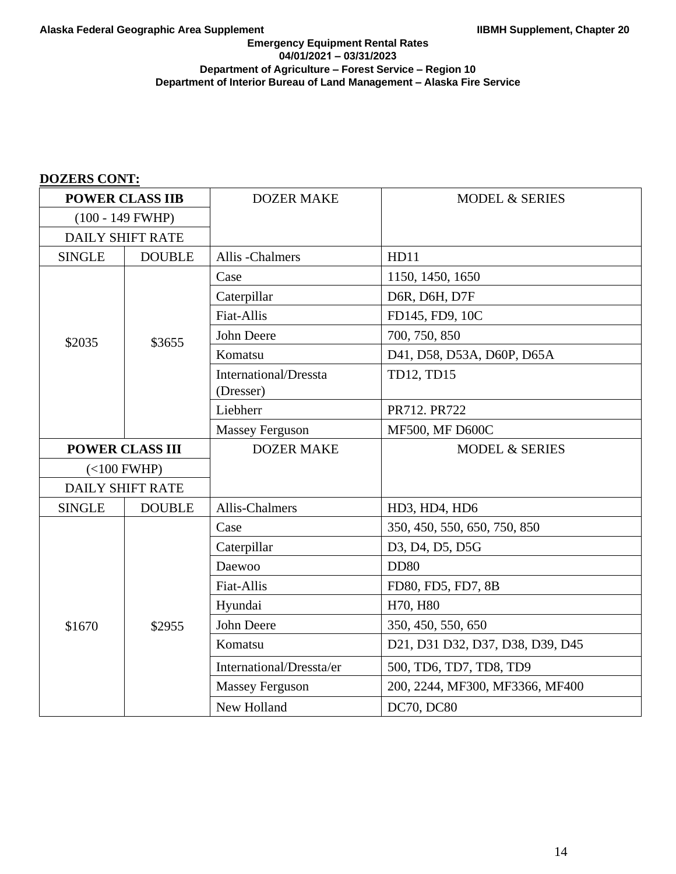# **DOZERS CONT:**

| <b>POWER CLASS IIB</b>  |                         | <b>DOZER MAKE</b>            | <b>MODEL &amp; SERIES</b>        |
|-------------------------|-------------------------|------------------------------|----------------------------------|
| $(100 - 149$ FWHP)      |                         |                              |                                  |
| <b>DAILY SHIFT RATE</b> |                         |                              |                                  |
| <b>SINGLE</b>           | <b>DOUBLE</b>           | Allis -Chalmers              | HD11                             |
|                         |                         | Case                         | 1150, 1450, 1650                 |
|                         |                         | Caterpillar                  | D6R, D6H, D7F                    |
|                         |                         | Fiat-Allis                   | FD145, FD9, 10C                  |
| \$2035                  | \$3655                  | John Deere                   | 700, 750, 850                    |
|                         |                         | Komatsu                      | D41, D58, D53A, D60P, D65A       |
|                         |                         | <b>International/Dressta</b> | TD12, TD15                       |
|                         |                         | (Dresser)                    |                                  |
|                         |                         | Liebherr                     | PR712. PR722                     |
|                         |                         | <b>Massey Ferguson</b>       | <b>MF500, MF D600C</b>           |
| <b>POWER CLASS III</b>  |                         | <b>DOZER MAKE</b>            | <b>MODEL &amp; SERIES</b>        |
| $(<100$ FWHP)           |                         |                              |                                  |
|                         | <b>DAILY SHIFT RATE</b> |                              |                                  |
| <b>SINGLE</b>           | <b>DOUBLE</b>           | Allis-Chalmers               | HD3, HD4, HD6                    |
|                         |                         | Case                         | 350, 450, 550, 650, 750, 850     |
|                         |                         | Caterpillar                  | D3, D4, D5, D5G                  |
|                         |                         | Daewoo                       | <b>DD80</b>                      |
|                         |                         | Fiat-Allis                   | FD80, FD5, FD7, 8B               |
|                         |                         | Hyundai                      | H70, H80                         |
| \$1670                  | \$2955                  | <b>John Deere</b>            | 350, 450, 550, 650               |
|                         |                         | Komatsu                      | D21, D31 D32, D37, D38, D39, D45 |
|                         |                         | International/Dressta/er     | 500, TD6, TD7, TD8, TD9          |
|                         |                         | <b>Massey Ferguson</b>       | 200, 2244, MF300, MF3366, MF400  |
|                         |                         | New Holland                  | DC70, DC80                       |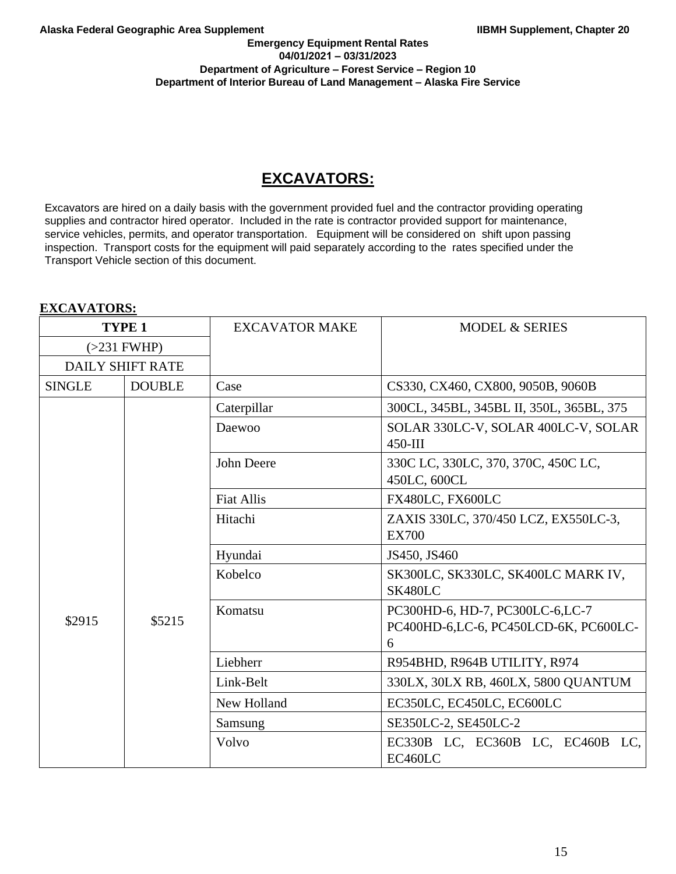**EXCAVATORS:**

### **Emergency Equipment Rental Rates 04/01/2021 – 03/31/2023 Department of Agriculture – Forest Service – Region 10 Department of Interior Bureau of Land Management – Alaska Fire Service**

# **EXCAVATORS:**

Excavators are hired on a daily basis with the government provided fuel and the contractor providing operating supplies and contractor hired operator. Included in the rate is contractor provided support for maintenance, service vehicles, permits, and operator transportation. Equipment will be considered on shift upon passing inspection. Transport costs for the equipment will paid separately according to the rates specified under the Transport Vehicle section of this document.

| 221011 TILLOINS   |                         |                       |                                                                               |
|-------------------|-------------------------|-----------------------|-------------------------------------------------------------------------------|
| TYPE <sub>1</sub> |                         | <b>EXCAVATOR MAKE</b> | <b>MODEL &amp; SERIES</b>                                                     |
| $(>231$ FWHP)     |                         |                       |                                                                               |
|                   | <b>DAILY SHIFT RATE</b> |                       |                                                                               |
| <b>SINGLE</b>     | <b>DOUBLE</b>           | Case                  | CS330, CX460, CX800, 9050B, 9060B                                             |
|                   |                         | Caterpillar           | 300CL, 345BL, 345BL II, 350L, 365BL, 375                                      |
|                   |                         | Daewoo                | SOLAR 330LC-V, SOLAR 400LC-V, SOLAR<br>$450 - III$                            |
|                   |                         | John Deere            | 330C LC, 330LC, 370, 370C, 450C LC,<br>450LC, 600CL                           |
|                   |                         | <b>Fiat Allis</b>     | FX480LC, FX600LC                                                              |
| \$2915            | \$5215                  | Hitachi               | ZAXIS 330LC, 370/450 LCZ, EX550LC-3,<br><b>EX700</b>                          |
|                   |                         | Hyundai               | JS450, JS460                                                                  |
|                   |                         | Kobelco               | SK300LC, SK330LC, SK400LC MARK IV,<br>SK480LC                                 |
|                   |                         | Komatsu               | PC300HD-6, HD-7, PC300LC-6,LC-7<br>PC400HD-6,LC-6, PC450LCD-6K, PC600LC-<br>6 |
|                   |                         | Liebherr              | R954BHD, R964B UTILITY, R974                                                  |
|                   |                         | Link-Belt             | 330LX, 30LX RB, 460LX, 5800 QUANTUM                                           |
|                   |                         | New Holland           | EC350LC, EC450LC, EC600LC                                                     |
|                   |                         | Samsung               | SE350LC-2, SE450LC-2                                                          |
|                   |                         | Volvo                 | EC330B LC, EC360B LC, EC460B LC,<br>EC460LC                                   |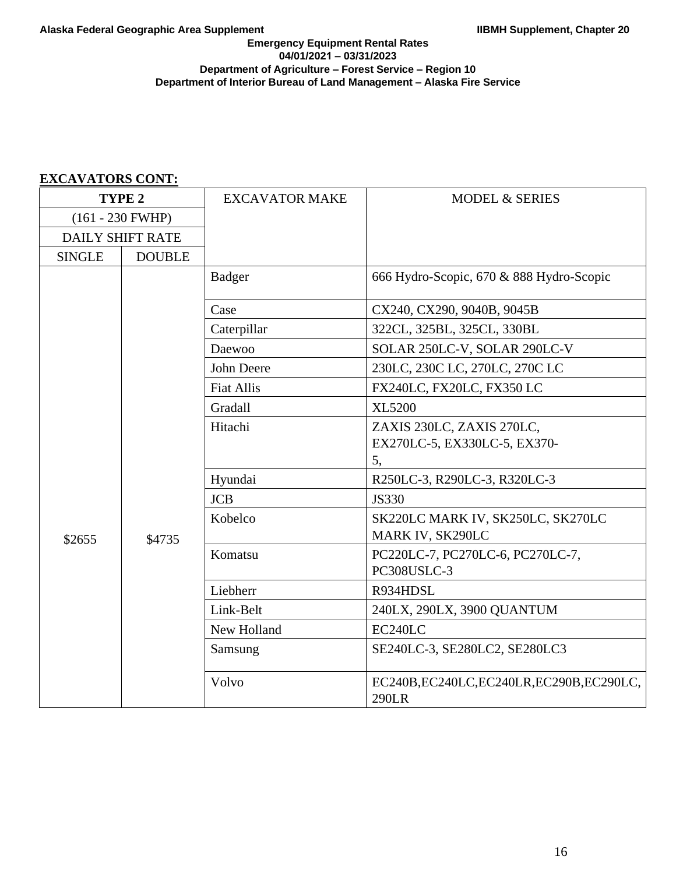| TYPE <sub>2</sub>       |               | <b>EXCAVATOR MAKE</b> | <b>MODEL &amp; SERIES</b>                                       |
|-------------------------|---------------|-----------------------|-----------------------------------------------------------------|
| $(161 - 230$ FWHP)      |               |                       |                                                                 |
| <b>DAILY SHIFT RATE</b> |               |                       |                                                                 |
| <b>SINGLE</b>           | <b>DOUBLE</b> |                       |                                                                 |
|                         |               | Badger                | 666 Hydro-Scopic, 670 & 888 Hydro-Scopic                        |
|                         |               | Case                  | CX240, CX290, 9040B, 9045B                                      |
|                         |               | Caterpillar           | 322CL, 325BL, 325CL, 330BL                                      |
|                         |               | Daewoo                | SOLAR 250LC-V, SOLAR 290LC-V                                    |
|                         |               | John Deere            | 230LC, 230C LC, 270LC, 270C LC                                  |
|                         |               | <b>Fiat Allis</b>     | FX240LC, FX20LC, FX350 LC                                       |
|                         |               | Gradall               | <b>XL5200</b>                                                   |
| \$2655                  | \$4735        | Hitachi               | ZAXIS 230LC, ZAXIS 270LC,<br>EX270LC-5, EX330LC-5, EX370-<br>5, |
|                         |               | Hyundai               | R250LC-3, R290LC-3, R320LC-3                                    |
|                         |               | <b>JCB</b>            | <b>JS330</b>                                                    |
|                         |               | Kobelco               | SK220LC MARK IV, SK250LC, SK270LC<br>MARK IV, SK290LC           |
|                         |               | Komatsu               | PC220LC-7, PC270LC-6, PC270LC-7,<br>PC308USLC-3                 |
|                         |               | Liebherr              | R934HDSL                                                        |
|                         |               | Link-Belt             | 240LX, 290LX, 3900 QUANTUM                                      |
|                         |               | New Holland           | EC240LC                                                         |
|                         |               | Samsung               | SE240LC-3, SE280LC2, SE280LC3                                   |
|                         |               | Volvo                 | EC240B,EC240LC,EC240LR,EC290B,EC290LC,<br>290LR                 |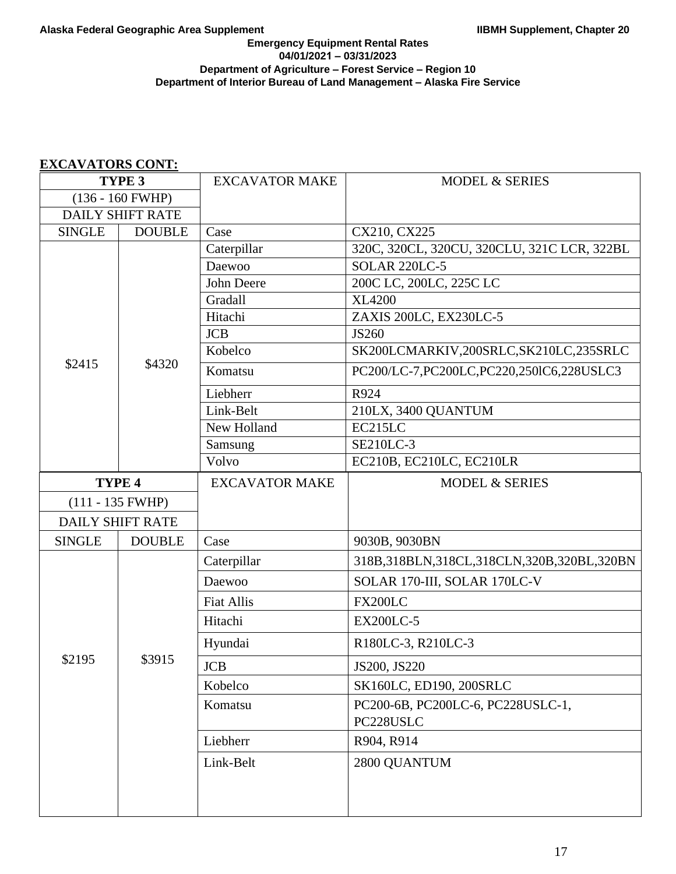| TYPE <sub>3</sub>          |                         | <b>EXCAVATOR MAKE</b> | <b>MODEL &amp; SERIES</b>                       |
|----------------------------|-------------------------|-----------------------|-------------------------------------------------|
| $(136 - 160 \text{ FWHP})$ |                         |                       |                                                 |
| <b>DAILY SHIFT RATE</b>    |                         |                       |                                                 |
| <b>SINGLE</b>              | <b>DOUBLE</b>           | Case                  | CX210, CX225                                    |
|                            |                         | Caterpillar           | 320C, 320CL, 320CU, 320CLU, 321C LCR, 322BL     |
|                            |                         | Daewoo                | <b>SOLAR 220LC-5</b>                            |
|                            |                         | John Deere            | 200C LC, 200LC, 225C LC                         |
|                            |                         | Gradall               | <b>XL4200</b>                                   |
|                            |                         | Hitachi               | ZAXIS 200LC, EX230LC-5                          |
|                            |                         | <b>JCB</b>            | JS260                                           |
|                            |                         | Kobelco               | SK200LCMARKIV,200SRLC,SK210LC,235SRLC           |
| \$2415                     | \$4320                  | Komatsu               | PC200/LC-7,PC200LC,PC220,250IC6,228USLC3        |
|                            |                         | Liebherr              | R924                                            |
|                            |                         | Link-Belt             | 210LX, 3400 QUANTUM                             |
|                            |                         | New Holland           | EC215LC                                         |
|                            |                         | Samsung               | <b>SE210LC-3</b>                                |
|                            |                         | Volvo                 | EC210B, EC210LC, EC210LR                        |
|                            | TYPE 4                  | <b>EXCAVATOR MAKE</b> | <b>MODEL &amp; SERIES</b>                       |
| $(111 - 135$ FWHP)         |                         |                       |                                                 |
|                            | <b>DAILY SHIFT RATE</b> |                       |                                                 |
| <b>SINGLE</b>              | <b>DOUBLE</b>           | Case                  | 9030B, 9030BN                                   |
|                            |                         | Caterpillar           | 318B, 318BLN, 318CL, 318CLN, 320B, 320BL, 320BN |
|                            |                         | Daewoo                | SOLAR 170-III, SOLAR 170LC-V                    |
|                            |                         | <b>Fiat Allis</b>     | <b>FX200LC</b>                                  |
|                            |                         | Hitachi               | <b>EX200LC-5</b>                                |
|                            |                         | Hyundai               | R180LC-3, R210LC-3                              |
| \$2195                     | \$3915                  | <b>JCB</b>            | JS200, JS220                                    |
|                            |                         | Kobelco               | SK160LC, ED190, 200SRLC                         |
|                            |                         | Komatsu               | PC200-6B, PC200LC-6, PC228USLC-1,<br>PC228USLC  |
|                            |                         | Liebherr              | R904, R914                                      |
|                            |                         | Link-Belt             | 2800 QUANTUM                                    |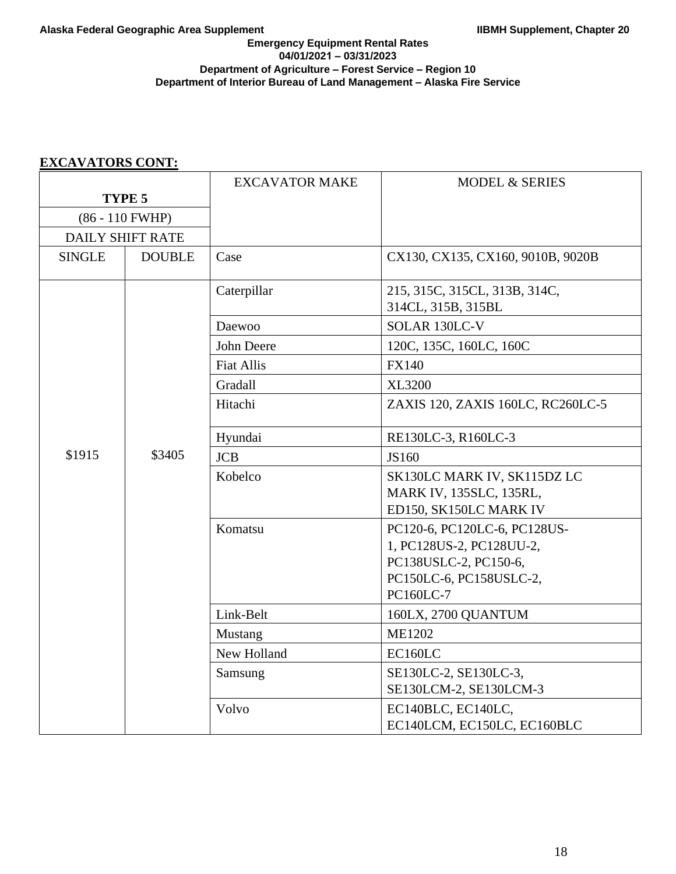## **Emergency Equipment Rental Rates 04/01/2021 – 03/31/2023 Department of Agriculture – Forest Service – Region 10 Department of Interior Bureau of Land Management – Alaska Fire Service**

|               |                         | <b>EXCAVATOR MAKE</b> | <b>MODEL &amp; SERIES</b>                                                                                                 |
|---------------|-------------------------|-----------------------|---------------------------------------------------------------------------------------------------------------------------|
| TYPE 5        |                         |                       |                                                                                                                           |
|               | $(86 - 110$ FWHP)       |                       |                                                                                                                           |
|               | <b>DAILY SHIFT RATE</b> |                       |                                                                                                                           |
| <b>SINGLE</b> | <b>DOUBLE</b>           | Case                  | CX130, CX135, CX160, 9010B, 9020B                                                                                         |
|               |                         | Caterpillar           | 215, 315C, 315CL, 313B, 314C,<br>314CL, 315B, 315BL                                                                       |
|               |                         | Daewoo                | SOLAR 130LC-V                                                                                                             |
|               |                         | John Deere            | 120C, 135C, 160LC, 160C                                                                                                   |
|               |                         | <b>Fiat Allis</b>     | <b>FX140</b>                                                                                                              |
|               |                         | Gradall               | <b>XL3200</b>                                                                                                             |
|               |                         | Hitachi               | ZAXIS 120, ZAXIS 160LC, RC260LC-5                                                                                         |
|               |                         | Hyundai               | RE130LC-3, R160LC-3                                                                                                       |
| \$1915        | \$3405                  | <b>JCB</b>            | JS160                                                                                                                     |
|               |                         | Kobelco               | SK130LC MARK IV, SK115DZ LC<br>MARK IV, 135SLC, 135RL,<br>ED150, SK150LC MARK IV                                          |
|               |                         | Komatsu               | PC120-6, PC120LC-6, PC128US-<br>1, PC128US-2, PC128UU-2,<br>PC138USLC-2, PC150-6,<br>PC150LC-6, PC158USLC-2,<br>PC160LC-7 |
|               |                         | Link-Belt             | 160LX, 2700 QUANTUM                                                                                                       |
|               |                         | <b>Mustang</b>        | <b>ME1202</b>                                                                                                             |
|               |                         | New Holland           | EC160LC                                                                                                                   |
|               |                         | Samsung               | SE130LC-2, SE130LC-3,<br>SE130LCM-2, SE130LCM-3                                                                           |
|               |                         | Volvo                 | EC140BLC, EC140LC,<br>EC140LCM, EC150LC, EC160BLC                                                                         |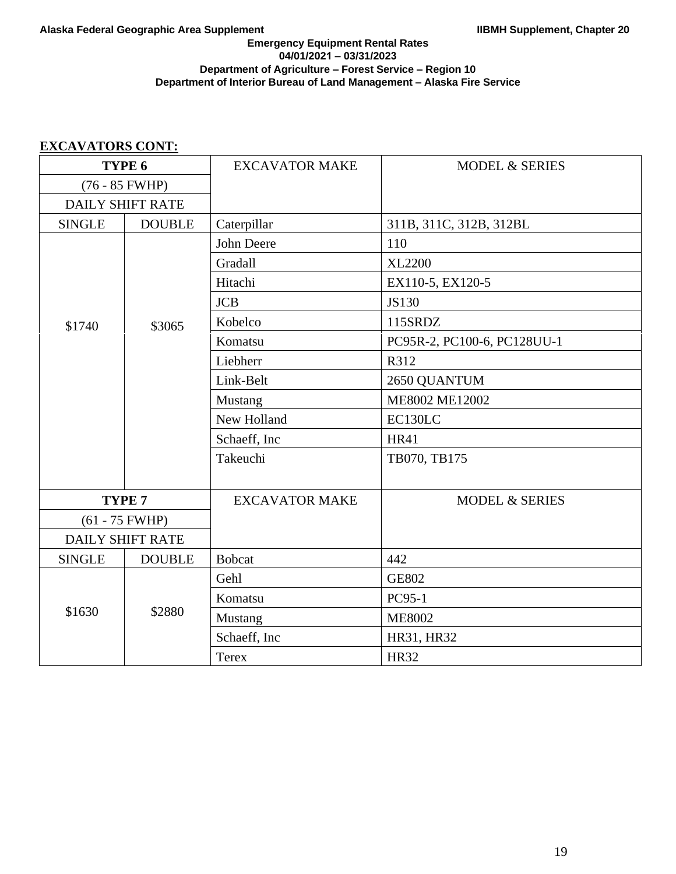## **Emergency Equipment Rental Rates 04/01/2021 – 03/31/2023 Department of Agriculture – Forest Service – Region 10 Department of Interior Bureau of Land Management – Alaska Fire Service**

| TYPE 6                  |                         | <b>EXCAVATOR MAKE</b> | <b>MODEL &amp; SERIES</b>   |
|-------------------------|-------------------------|-----------------------|-----------------------------|
| $(76 - 85$ FWHP)        |                         |                       |                             |
|                         | <b>DAILY SHIFT RATE</b> |                       |                             |
| <b>SINGLE</b>           | <b>DOUBLE</b>           | Caterpillar           | 311B, 311C, 312B, 312BL     |
|                         |                         | John Deere            | 110                         |
|                         |                         | Gradall               | <b>XL2200</b>               |
|                         |                         | Hitachi               | EX110-5, EX120-5            |
|                         |                         | <b>JCB</b>            | <b>JS130</b>                |
| \$1740                  | \$3065                  | Kobelco               | 115SRDZ                     |
|                         |                         | Komatsu               | PC95R-2, PC100-6, PC128UU-1 |
|                         |                         | Liebherr              | R312                        |
|                         |                         | Link-Belt             | 2650 QUANTUM                |
|                         |                         | Mustang               | ME8002 ME12002              |
|                         |                         | New Holland           | EC130LC                     |
|                         |                         | Schaeff, Inc          | <b>HR41</b>                 |
|                         |                         | Takeuchi              | TB070, TB175                |
|                         |                         |                       |                             |
|                         | TYPE <sub>7</sub>       | <b>EXCAVATOR MAKE</b> | <b>MODEL &amp; SERIES</b>   |
|                         | $(61 - 75$ FWHP)        |                       |                             |
| <b>DAILY SHIFT RATE</b> |                         |                       |                             |
| <b>SINGLE</b>           | <b>DOUBLE</b>           | <b>Bobcat</b>         | 442                         |
|                         |                         | Gehl                  | <b>GE802</b>                |
|                         |                         | Komatsu               | PC95-1                      |
| \$1630                  | \$2880                  | Mustang               | <b>ME8002</b>               |
|                         |                         | Schaeff, Inc          | HR31, HR32                  |
|                         |                         | <b>Terex</b>          | <b>HR32</b>                 |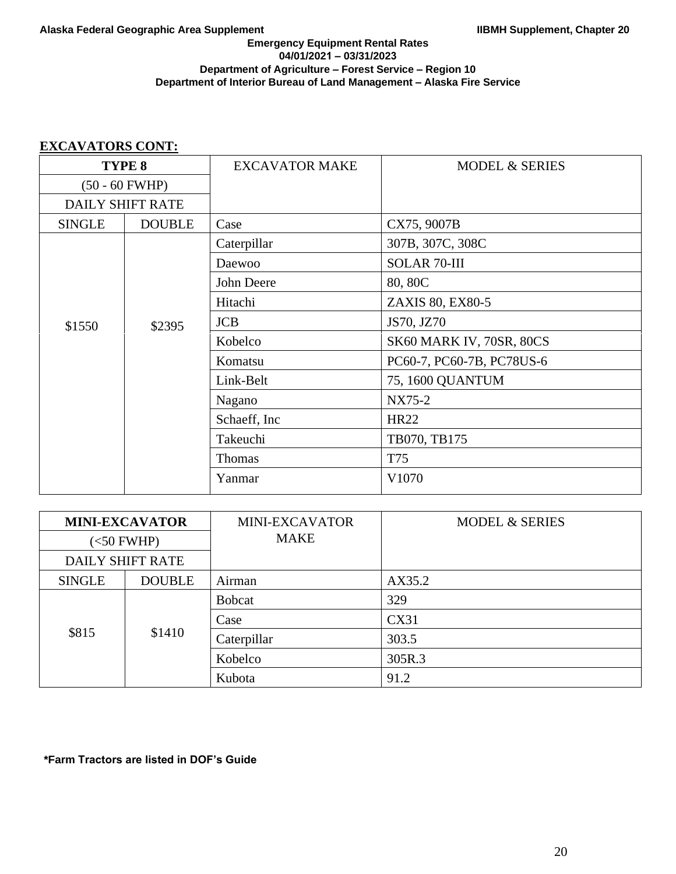## **Emergency Equipment Rental Rates 04/01/2021 – 03/31/2023 Department of Agriculture – Forest Service – Region 10 Department of Interior Bureau of Land Management – Alaska Fire Service**

# **EXCAVATORS CONT:**

| TYPE <sub>8</sub>       |               | <b>EXCAVATOR MAKE</b> | <b>MODEL &amp; SERIES</b> |
|-------------------------|---------------|-----------------------|---------------------------|
| $(50 - 60$ FWHP)        |               |                       |                           |
| <b>DAILY SHIFT RATE</b> |               |                       |                           |
| <b>SINGLE</b>           | <b>DOUBLE</b> | Case                  | CX75, 9007B               |
|                         |               | Caterpillar           | 307B, 307C, 308C          |
|                         |               | Daewoo                | <b>SOLAR 70-III</b>       |
|                         |               | John Deere            | 80, 80C                   |
|                         | \$2395        | Hitachi               | ZAXIS 80, EX80-5          |
| \$1550                  |               | <b>JCB</b>            | JS70, JZ70                |
|                         |               | Kobelco               | SK60 MARK IV, 70SR, 80CS  |
|                         |               | Komatsu               | PC60-7, PC60-7B, PC78US-6 |
|                         |               | Link-Belt             | 75, 1600 QUANTUM          |
|                         |               | Nagano                | NX75-2                    |
|                         |               | Schaeff, Inc          | <b>HR22</b>               |
|                         |               | Takeuchi              | TB070, TB175              |
|                         |               | Thomas                | T75                       |
|                         |               | Yanmar                | V1070                     |

| <b>MINI-EXCAVATOR</b>   |               | <b>MINI-EXCAVATOR</b> | <b>MODEL &amp; SERIES</b> |
|-------------------------|---------------|-----------------------|---------------------------|
| $(<50$ FWHP)            |               | <b>MAKE</b>           |                           |
| <b>DAILY SHIFT RATE</b> |               |                       |                           |
| <b>SINGLE</b>           | <b>DOUBLE</b> | Airman                | AX35.2                    |
| \$815                   | \$1410        | <b>Bobcat</b>         | 329                       |
|                         |               | Case                  | CX31                      |
|                         |               | Caterpillar           | 303.5                     |
|                         |               | Kobelco               | 305R.3                    |
|                         |               | Kubota                | 91.2                      |

**\*Farm Tractors are listed in DOF's Guide**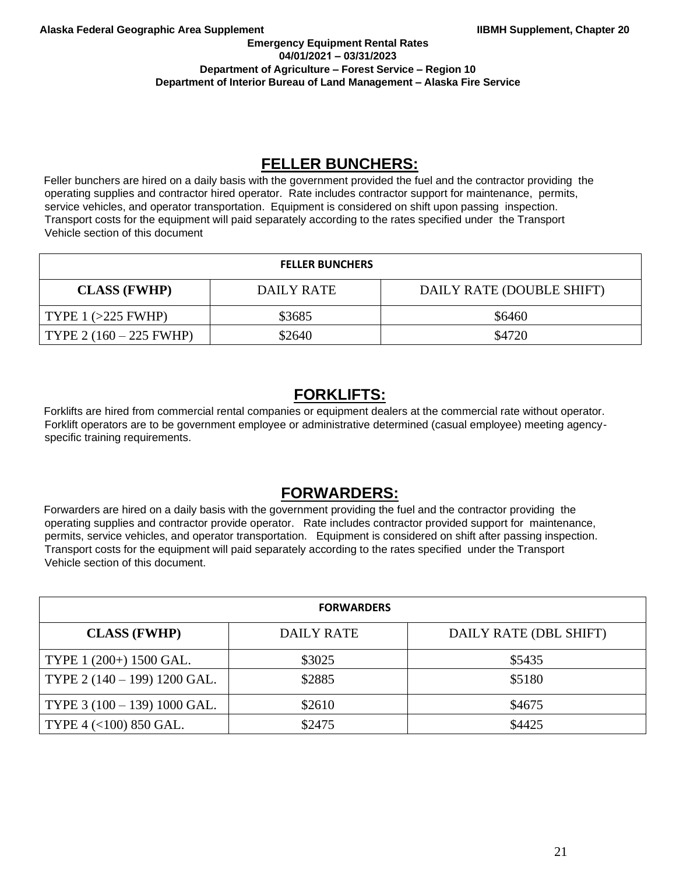### **Emergency Equipment Rental Rates 04/01/2021 – 03/31/2023 Department of Agriculture – Forest Service – Region 10 Department of Interior Bureau of Land Management – Alaska Fire Service**

# **FELLER BUNCHERS:**

Feller bunchers are hired on a daily basis with the government provided the fuel and the contractor providing the operating supplies and contractor hired operator. Rate includes contractor support for maintenance, permits, service vehicles, and operator transportation. Equipment is considered on shift upon passing inspection. Transport costs for the equipment will paid separately according to the rates specified under the Transport Vehicle section of this document

## **FELLER BUNCHERS**

| <b>CLASS (FWHP)</b>        | DAILY RATE | DAILY RATE (DOUBLE SHIFT) |
|----------------------------|------------|---------------------------|
| $\vert$ TYPE 1 (>225 FWHP) | \$3685     | \$6460                    |
| $TYPE 2 (160 - 225 FWHP)$  | \$2640     | \$4720                    |

# **FORKLIFTS:**

Forklifts are hired from commercial rental companies or equipment dealers at the commercial rate without operator. Forklift operators are to be government employee or administrative determined (casual employee) meeting agencyspecific training requirements.

# **FORWARDERS:**

Forwarders are hired on a daily basis with the government providing the fuel and the contractor providing the operating supplies and contractor provide operator. Rate includes contractor provided support for maintenance, permits, service vehicles, and operator transportation. Equipment is considered on shift after passing inspection. Transport costs for the equipment will paid separately according to the rates specified under the Transport Vehicle section of this document.

| <b>FORWARDERS</b>            |                   |                        |  |  |
|------------------------------|-------------------|------------------------|--|--|
| <b>CLASS (FWHP)</b>          | <b>DAILY RATE</b> | DAILY RATE (DBL SHIFT) |  |  |
| TYPE 1 (200+) 1500 GAL.      | \$3025            | \$5435                 |  |  |
| TYPE 2 (140 - 199) 1200 GAL. | \$2885            | \$5180                 |  |  |
| TYPE 3 (100 - 139) 1000 GAL. | \$2610            | \$4675                 |  |  |
| TYPE 4 (<100) 850 GAL.       | \$2475            | \$4425                 |  |  |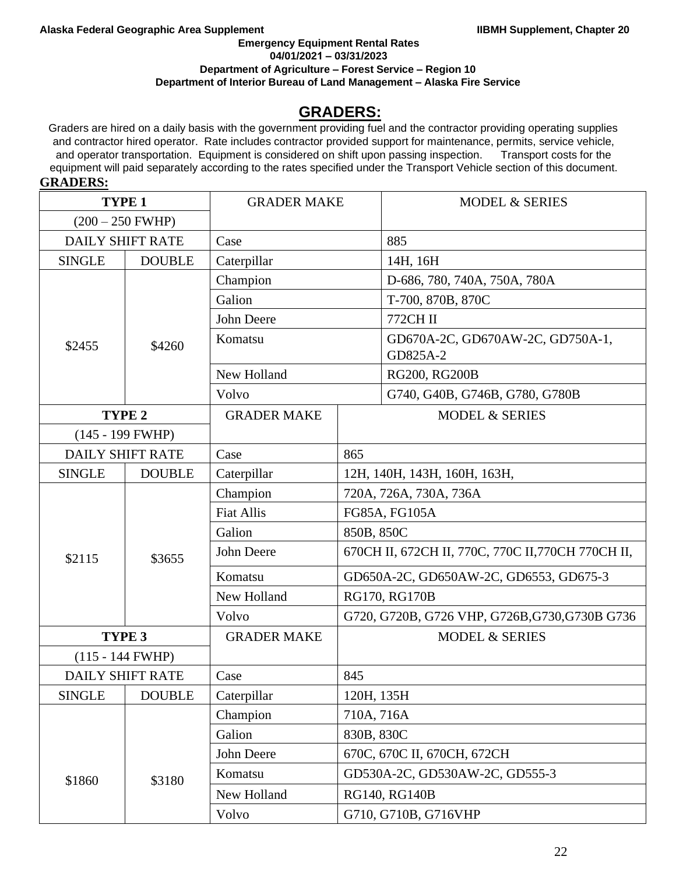**Emergency Equipment Rental Rates 04/01/2021 – 03/31/2023**

**Department of Agriculture – Forest Service – Region 10** 

**Department of Interior Bureau of Land Management – Alaska Fire Service** 

# **GRADERS:**

Graders are hired on a daily basis with the government providing fuel and the contractor providing operating supplies and contractor hired operator. Rate includes contractor provided support for maintenance, permits, service vehicle, and operator transportation. Equipment is considered on shift upon passing inspection. Transport costs for the equipment will paid separately according to the rates specified under the Transport Vehicle section of this document. **GRADERS:**

| <b>TYPE 1</b>           |                         | <b>GRADER MAKE</b> |                                                | <b>MODEL &amp; SERIES</b>                          |  |
|-------------------------|-------------------------|--------------------|------------------------------------------------|----------------------------------------------------|--|
| $(200 - 250$ FWHP)      |                         |                    |                                                |                                                    |  |
| <b>DAILY SHIFT RATE</b> |                         | Case               |                                                | 885                                                |  |
| <b>SINGLE</b>           | <b>DOUBLE</b>           | Caterpillar        |                                                | 14H, 16H                                           |  |
|                         |                         | Champion           |                                                | D-686, 780, 740A, 750A, 780A                       |  |
|                         |                         | Galion             |                                                | T-700, 870B, 870C                                  |  |
|                         |                         | John Deere         |                                                | 772CH II                                           |  |
| \$2455                  | \$4260                  | Komatsu            |                                                | GD670A-2C, GD670AW-2C, GD750A-1,<br>GD825A-2       |  |
|                         |                         | New Holland        |                                                | RG200, RG200B                                      |  |
|                         |                         | Volvo              |                                                | G740, G40B, G746B, G780, G780B                     |  |
|                         | TYPE <sub>2</sub>       | <b>GRADER MAKE</b> |                                                | <b>MODEL &amp; SERIES</b>                          |  |
|                         | $(145 - 199$ FWHP)      |                    |                                                |                                                    |  |
| <b>DAILY SHIFT RATE</b> |                         | Case               | 865                                            |                                                    |  |
| <b>SINGLE</b>           | <b>DOUBLE</b>           | Caterpillar        | 12Н, 140Н, 143Н, 160Н, 163Н,                   |                                                    |  |
|                         | \$3655                  | Champion           | 720A, 726A, 730A, 736A                         |                                                    |  |
|                         |                         | <b>Fiat Allis</b>  | FG85A, FG105A                                  |                                                    |  |
|                         |                         | Galion             | 850B, 850C                                     |                                                    |  |
| \$2115                  |                         | John Deere         |                                                | 670СН II, 672СН II, 770С, 770С II, 770СН 770СН II, |  |
|                         |                         | Komatsu            | GD650A-2C, GD650AW-2C, GD6553, GD675-3         |                                                    |  |
|                         |                         | New Holland        | RG170, RG170B                                  |                                                    |  |
|                         |                         | Volvo              | G720, G720B, G726 VHP, G726B, G730, G730B G736 |                                                    |  |
|                         | TYPE 3                  | <b>GRADER MAKE</b> |                                                | <b>MODEL &amp; SERIES</b>                          |  |
|                         | $(115 - 144$ FWHP)      |                    |                                                |                                                    |  |
|                         | <b>DAILY SHIFT RATE</b> | Case               | 845                                            |                                                    |  |
| <b>SINGLE</b>           | <b>DOUBLE</b>           | Caterpillar        | 120H, 135H                                     |                                                    |  |
|                         |                         | Champion           | 710A, 716A                                     |                                                    |  |
|                         |                         | Galion             | 830B, 830C                                     |                                                    |  |
|                         |                         | John Deere         |                                                | 670C, 670C II, 670CH, 672CH                        |  |
| \$1860                  | \$3180                  | Komatsu            |                                                | GD530A-2C, GD530AW-2C, GD555-3                     |  |
|                         |                         | New Holland        |                                                | RG140, RG140B                                      |  |
|                         |                         | Volvo              |                                                | G710, G710B, G716VHP                               |  |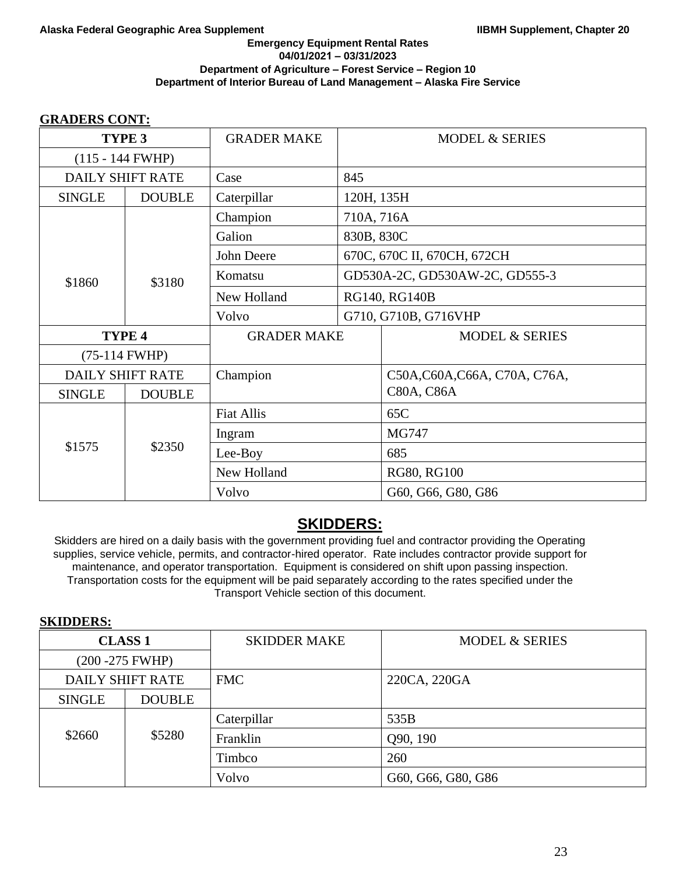# **GRADERS CONT:**

| TYPE <sub>3</sub>  |                         | <b>GRADER MAKE</b> |                                | <b>MODEL &amp; SERIES</b>     |
|--------------------|-------------------------|--------------------|--------------------------------|-------------------------------|
| $(115 - 144$ FWHP) |                         |                    |                                |                               |
|                    | <b>DAILY SHIFT RATE</b> | Case               | 845                            |                               |
| <b>SINGLE</b>      | <b>DOUBLE</b>           | Caterpillar        | 120H, 135H                     |                               |
|                    |                         | Champion           | 710A, 716A                     |                               |
|                    |                         | Galion             | 830B, 830C                     |                               |
|                    |                         | John Deere         |                                | 670C, 670C II, 670CH, 672CH   |
| \$1860             | \$3180                  | Komatsu            | GD530A-2C, GD530AW-2C, GD555-3 |                               |
|                    |                         | New Holland        | RG140, RG140B                  |                               |
|                    |                         | Volvo              |                                | G710, G710B, G716VHP          |
| TYPE 4             |                         | <b>GRADER MAKE</b> |                                | <b>MODEL &amp; SERIES</b>     |
| (75-114 FWHP)      |                         |                    |                                |                               |
|                    | <b>DAILY SHIFT RATE</b> | Champion           |                                | C50A, C60A, C66A, C70A, C76A, |
| <b>SINGLE</b>      | <b>DOUBLE</b>           |                    |                                | C80A, C86A                    |
|                    |                         | <b>Fiat Allis</b>  |                                | 65C                           |
|                    | \$2350                  | Ingram             |                                | MG747                         |
| \$1575             |                         | Lee-Boy            |                                | 685                           |
|                    |                         | New Holland        |                                | RG80, RG100                   |
|                    |                         | Volvo              |                                | G60, G66, G80, G86            |

# **SKIDDERS:**

Skidders are hired on a daily basis with the government providing fuel and contractor providing the Operating supplies, service vehicle, permits, and contractor-hired operator. Rate includes contractor provide support for maintenance, and operator transportation. Equipment is considered on shift upon passing inspection. Transportation costs for the equipment will be paid separately according to the rates specified under the Transport Vehicle section of this document.

## **SKIDDERS:**

| <b>CLASS 1</b>          |               | <b>SKIDDER MAKE</b> | <b>MODEL &amp; SERIES</b> |
|-------------------------|---------------|---------------------|---------------------------|
| (200 - 275 FWHP)        |               |                     |                           |
| <b>DAILY SHIFT RATE</b> |               | <b>FMC</b>          | 220CA, 220GA              |
| <b>SINGLE</b>           | <b>DOUBLE</b> |                     |                           |
|                         |               | Caterpillar         | 535B                      |
| \$2660                  | \$5280        | Franklin            | Q90, 190                  |
|                         |               | Timbco              | 260                       |
|                         |               | Volvo               | G60, G66, G80, G86        |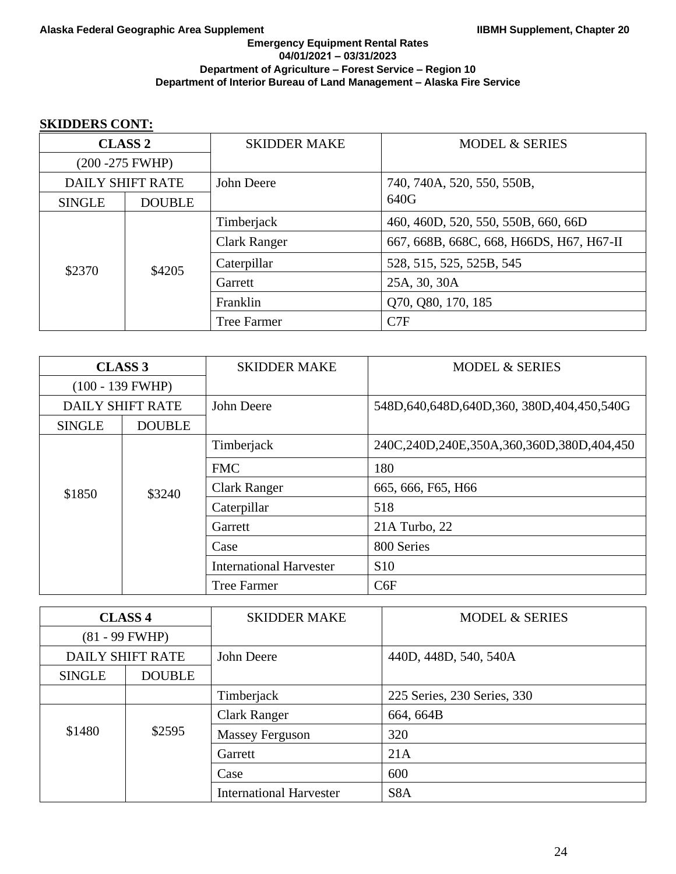# **SKIDDERS CONT:**

| <b>CLASS 2</b>          |               | <b>SKIDDER MAKE</b> | <b>MODEL &amp; SERIES</b>                |  |
|-------------------------|---------------|---------------------|------------------------------------------|--|
| $(200 - 275$ FWHP)      |               |                     |                                          |  |
| <b>DAILY SHIFT RATE</b> |               | John Deere          | 740, 740A, 520, 550, 550B,               |  |
| <b>SINGLE</b>           | <b>DOUBLE</b> |                     | 640G                                     |  |
| \$2370                  | \$4205        | Timberjack          | 460, 460D, 520, 550, 550B, 660, 66D      |  |
|                         |               | <b>Clark Ranger</b> | 667, 668B, 668C, 668, H66DS, H67, H67-II |  |
|                         |               | Caterpillar         | 528, 515, 525, 525B, 545                 |  |
|                         |               | Garrett             | 25A, 30, 30A                             |  |
|                         |               | Franklin            | Q70, Q80, 170, 185                       |  |
|                         |               | <b>Tree Farmer</b>  | C7F                                      |  |

| <b>CLASS 3</b>     |                         | <b>SKIDDER MAKE</b>            | <b>MODEL &amp; SERIES</b>                        |
|--------------------|-------------------------|--------------------------------|--------------------------------------------------|
| $(100 - 139$ FWHP) |                         |                                |                                                  |
|                    | <b>DAILY SHIFT RATE</b> | John Deere                     | 548D, 640, 648D, 640D, 360, 380D, 404, 450, 540G |
| <b>SINGLE</b>      | <b>DOUBLE</b>           |                                |                                                  |
|                    | \$3240                  | Timberjack                     | 240C,240D,240E,350A,360,360D,380D,404,450        |
|                    |                         | <b>FMC</b>                     | 180                                              |
| \$1850             |                         | <b>Clark Ranger</b>            | 665, 666, F65, H66                               |
|                    |                         | Caterpillar                    | 518                                              |
|                    |                         | Garrett                        | 21A Turbo, 22                                    |
|                    |                         | Case                           | 800 Series                                       |
|                    |                         | <b>International Harvester</b> | <b>S10</b>                                       |
|                    |                         | <b>Tree Farmer</b>             | C6F                                              |

| <b>CLASS 4</b>   |                         | <b>SKIDDER MAKE</b>            | <b>MODEL &amp; SERIES</b>   |  |
|------------------|-------------------------|--------------------------------|-----------------------------|--|
| $(81 - 99$ FWHP) |                         |                                |                             |  |
|                  | <b>DAILY SHIFT RATE</b> | John Deere                     | 440D, 448D, 540, 540A       |  |
| <b>SINGLE</b>    | <b>DOUBLE</b>           |                                |                             |  |
|                  |                         | Timberjack                     | 225 Series, 230 Series, 330 |  |
|                  |                         | <b>Clark Ranger</b>            | 664, 664B                   |  |
| \$1480<br>\$2595 |                         | <b>Massey Ferguson</b>         | 320                         |  |
|                  |                         | Garrett                        | 21A                         |  |
|                  |                         | Case                           | 600                         |  |
|                  |                         | <b>International Harvester</b> | S <sub>8</sub> A            |  |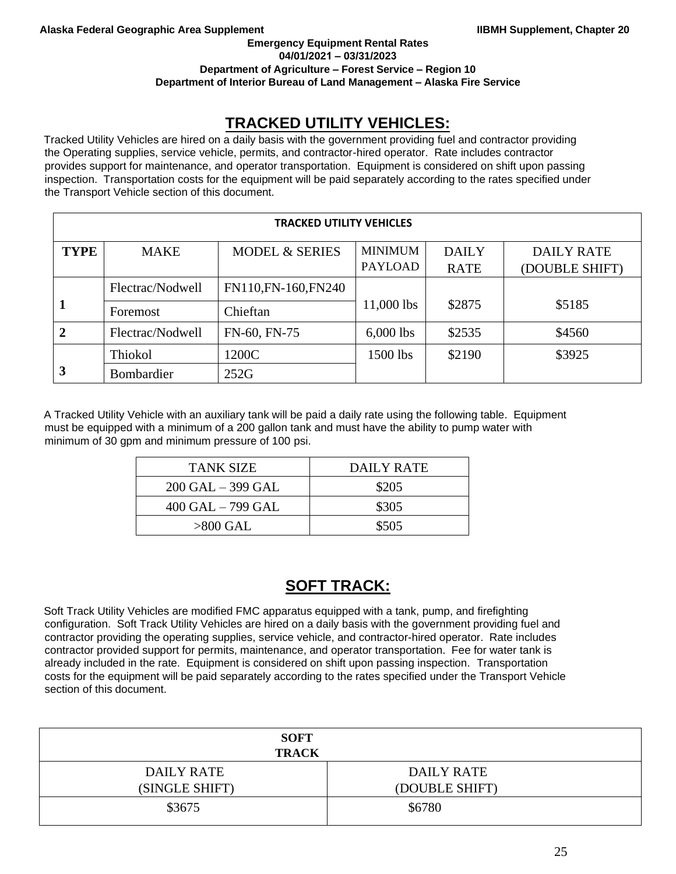**Emergency Equipment Rental Rates** 

**04/01/2021 – 03/31/2023**

**Department of Agriculture – Forest Service – Region 10** 

**Department of Interior Bureau of Land Management – Alaska Fire Service** 

# **TRACKED UTILITY VEHICLES:**

Tracked Utility Vehicles are hired on a daily basis with the government providing fuel and contractor providing the Operating supplies, service vehicle, permits, and contractor-hired operator. Rate includes contractor provides support for maintenance, and operator transportation. Equipment is considered on shift upon passing inspection. Transportation costs for the equipment will be paid separately according to the rates specified under the Transport Vehicle section of this document.

|             | <b>TRACKED UTILITY VEHICLES</b> |                           |                                  |                             |                                     |  |
|-------------|---------------------------------|---------------------------|----------------------------------|-----------------------------|-------------------------------------|--|
| <b>TYPE</b> | <b>MAKE</b>                     | <b>MODEL &amp; SERIES</b> | <b>MINIMUM</b><br><b>PAYLOAD</b> | <b>DAILY</b><br><b>RATE</b> | <b>DAILY RATE</b><br>(DOUBLE SHIFT) |  |
|             | Flectrac/Nodwell                | FN110, FN-160, FN240      |                                  |                             |                                     |  |
|             | Foremost                        | Chieftan                  | $11,000$ lbs                     | \$2875                      | \$5185                              |  |
|             | Flectrac/Nodwell                | FN-60, FN-75              | $6,000$ lbs                      | \$2535                      | \$4560                              |  |
|             | Thiokol                         | 1200C                     | 1500 lbs                         | \$2190                      | \$3925                              |  |
| 3           | Bombardier                      | 252G                      |                                  |                             |                                     |  |

A Tracked Utility Vehicle with an auxiliary tank will be paid a daily rate using the following table. Equipment must be equipped with a minimum of a 200 gallon tank and must have the ability to pump water with minimum of 30 gpm and minimum pressure of 100 psi.

| <b>TANK SIZE</b>      | DAILY RATE |
|-----------------------|------------|
| $200$ GAL $-$ 399 GAL | \$205      |
| $400$ GAL $-799$ GAL  | \$305      |
| $>800$ GAL            | \$505      |

# **SOFT TRACK:**

Soft Track Utility Vehicles are modified FMC apparatus equipped with a tank, pump, and firefighting configuration. Soft Track Utility Vehicles are hired on a daily basis with the government providing fuel and contractor providing the operating supplies, service vehicle, and contractor-hired operator. Rate includes contractor provided support for permits, maintenance, and operator transportation. Fee for water tank is already included in the rate. Equipment is considered on shift upon passing inspection. Transportation costs for the equipment will be paid separately according to the rates specified under the Transport Vehicle section of this document.

| <b>SOFT</b><br><b>TRACK</b> |                   |
|-----------------------------|-------------------|
| <b>DAILY RATE</b>           | <b>DAILY RATE</b> |
| (SINGLE SHIFT)              | (DOUBLE SHIFT)    |
| \$3675                      | \$6780            |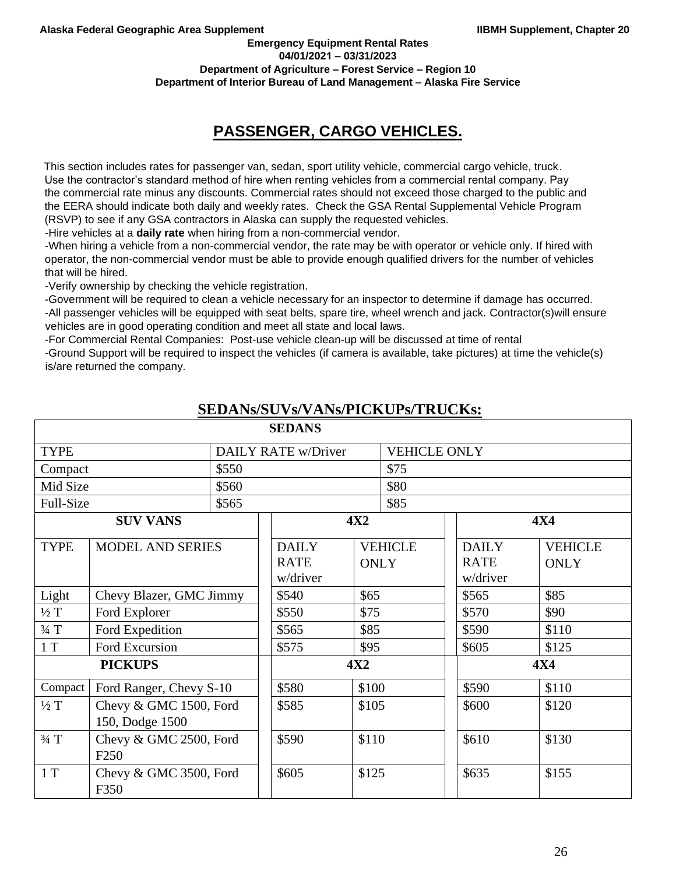**Emergency Equipment Rental Rates 04/01/2021 – 03/31/2023**

**Department of Agriculture – Forest Service – Region 10** 

**Department of Interior Bureau of Land Management – Alaska Fire Service** 

# **PASSENGER, CARGO VEHICLES.**

This section includes rates for passenger van, sedan, sport utility vehicle, commercial cargo vehicle, truck. Use the contractor's standard method of hire when renting vehicles from a commercial rental company. Pay the commercial rate minus any discounts. Commercial rates should not exceed those charged to the public and the EERA should indicate both daily and weekly rates. Check the GSA Rental Supplemental Vehicle Program (RSVP) to see if any GSA contractors in Alaska can supply the requested vehicles.

-Hire vehicles at a **daily rate** when hiring from a non-commercial vendor.

-When hiring a vehicle from a non-commercial vendor, the rate may be with operator or vehicle only. If hired with operator, the non-commercial vendor must be able to provide enough qualified drivers for the number of vehicles that will be hired.

-Verify ownership by checking the vehicle registration.

-Government will be required to clean a vehicle necessary for an inspector to determine if damage has occurred.

-All passenger vehicles will be equipped with seat belts, spare tire, wheel wrench and jack. Contractor(s)will ensure vehicles are in good operating condition and meet all state and local laws.

-For Commercial Rental Companies: Post-use vehicle clean-up will be discussed at time of rental

-Ground Support will be required to inspect the vehicles (if camera is available, take pictures) at time the vehicle(s) is/are returned the company.

|                 |                                            |       | <b>SEDANS</b>                           |                     |                |                                         |                               |
|-----------------|--------------------------------------------|-------|-----------------------------------------|---------------------|----------------|-----------------------------------------|-------------------------------|
| <b>TYPE</b>     | DAILY RATE w/Driver                        |       |                                         | <b>VEHICLE ONLY</b> |                |                                         |                               |
| Compact         |                                            | \$550 |                                         |                     | \$75           |                                         |                               |
| Mid Size        |                                            | \$560 |                                         |                     | \$80           |                                         |                               |
| Full-Size       |                                            | \$565 |                                         |                     | \$85           |                                         |                               |
|                 | <b>SUV VANS</b>                            |       |                                         | <b>4X2</b>          |                |                                         | <b>4X4</b>                    |
| <b>TYPE</b>     | <b>MODEL AND SERIES</b>                    |       | <b>DAILY</b><br><b>RATE</b><br>w/driver | <b>ONLY</b>         | <b>VEHICLE</b> | <b>DAILY</b><br><b>RATE</b><br>w/driver | <b>VEHICLE</b><br><b>ONLY</b> |
| Light           | Chevy Blazer, GMC Jimmy                    |       | \$540                                   | \$65                |                | \$565                                   | \$85                          |
| $\frac{1}{2}$ T | Ford Explorer                              |       | \$550                                   | \$75                |                | \$570                                   | \$90                          |
| $\frac{3}{4}$ T | Ford Expedition                            |       | \$565                                   | \$85                |                | \$590                                   | \$110                         |
| 1T              | Ford Excursion                             |       | \$575                                   | \$95                |                | \$605                                   | \$125                         |
| <b>PICKUPS</b>  |                                            | 4X2   |                                         | <b>4X4</b>          |                |                                         |                               |
| Compact         | Ford Ranger, Chevy S-10                    |       | \$580                                   | \$100               |                | \$590                                   | \$110                         |
| $\frac{1}{2}$ T | Chevy & GMC 1500, Ford<br>150, Dodge 1500  |       | \$585                                   | \$105               |                | \$600                                   | \$120                         |
| $\frac{3}{4}$ T | Chevy & GMC 2500, Ford<br>F <sub>250</sub> |       | \$590                                   | \$110               |                | \$610                                   | \$130                         |
| 1T              | Chevy & GMC 3500, Ford<br>F350             |       | \$605                                   | \$125               |                | \$635                                   | \$155                         |

# **SEDANs/SUVs/VANs/PICKUPs/TRUCKs:**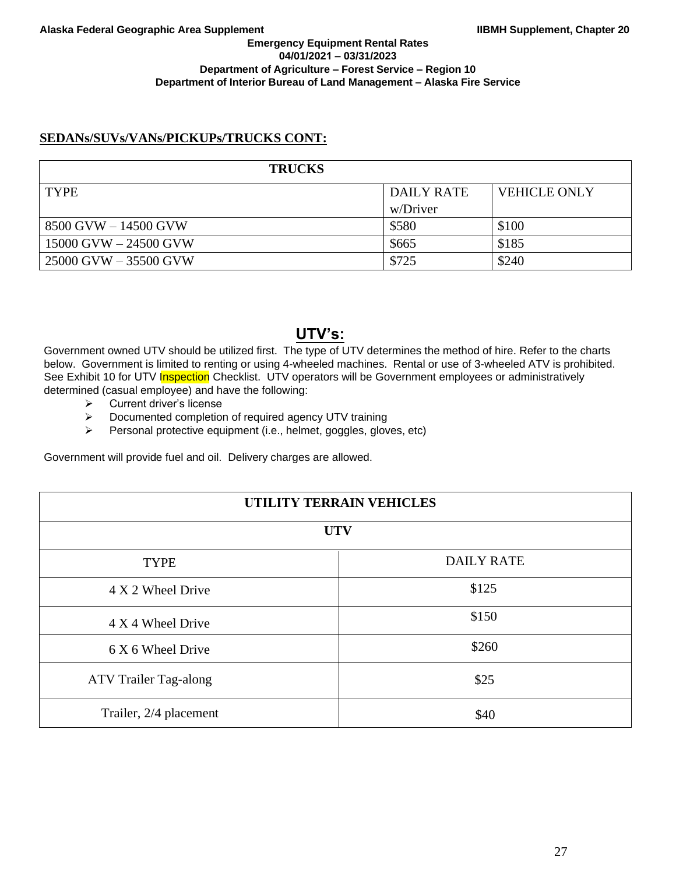# **SEDANs/SUVs/VANs/PICKUPs/TRUCKS CONT:**

| <b>TRUCKS</b>             |                   |                     |
|---------------------------|-------------------|---------------------|
| <b>TYPE</b>               | <b>DAILY RATE</b> | <b>VEHICLE ONLY</b> |
|                           | w/Driver          |                     |
| 8500 GVW - 14500 GVW      | \$580             | \$100               |
| $15000$ GVW $- 24500$ GVW | \$665             | \$185               |
| 25000 GVW - 35500 GVW     | \$725             | \$240               |

# **UTV's:**

Government owned UTV should be utilized first. The type of UTV determines the method of hire. Refer to the charts below. Government is limited to renting or using 4-wheeled machines. Rental or use of 3-wheeled ATV is prohibited. See Exhibit 10 for UTV Inspection Checklist. UTV operators will be Government employees or administratively determined (casual employee) and have the following:

- ➢ Current driver's license
- ➢ Documented completion of required agency UTV training
- ➢ Personal protective equipment (i.e., helmet, goggles, gloves, etc)

Government will provide fuel and oil. Delivery charges are allowed.

| UTILITY TERRAIN VEHICLES     |                   |  |
|------------------------------|-------------------|--|
| <b>UTV</b>                   |                   |  |
| <b>TYPE</b>                  | <b>DAILY RATE</b> |  |
| 4 X 2 Wheel Drive            | \$125             |  |
| 4 X 4 Wheel Drive            | \$150             |  |
| 6 X 6 Wheel Drive            | \$260             |  |
| <b>ATV Trailer Tag-along</b> | \$25              |  |
| Trailer, 2/4 placement       | \$40              |  |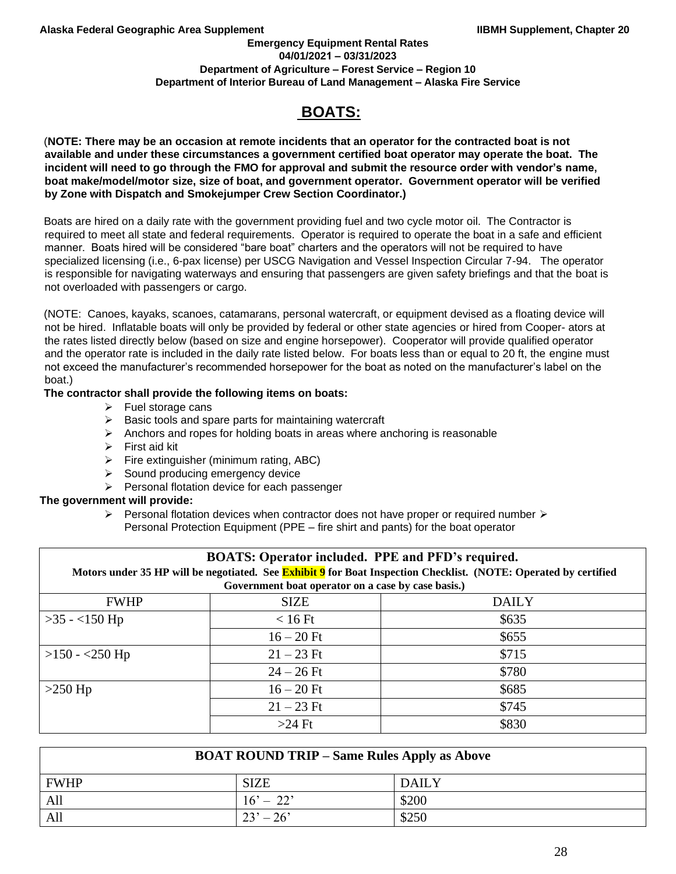### **Emergency Equipment Rental Rates 04/01/2021 – 03/31/2023 Department of Agriculture – Forest Service – Region 10 Department of Interior Bureau of Land Management – Alaska Fire Service**

# **BOATS:**

(**NOTE: There may be an occasion at remote incidents that an operator for the contracted boat is not available and under these circumstances a government certified boat operator may operate the boat. The incident will need to go through the FMO for approval and submit the resource order with vendor's name, boat make/model/motor size, size of boat, and government operator. Government operator will be verified by Zone with Dispatch and Smokejumper Crew Section Coordinator.)**

Boats are hired on a daily rate with the government providing fuel and two cycle motor oil. The Contractor is required to meet all state and federal requirements. Operator is required to operate the boat in a safe and efficient manner. Boats hired will be considered "bare boat" charters and the operators will not be required to have specialized licensing (i.e., 6-pax license) per USCG Navigation and Vessel Inspection Circular 7-94. The operator is responsible for navigating waterways and ensuring that passengers are given safety briefings and that the boat is not overloaded with passengers or cargo.

(NOTE: Canoes, kayaks, scanoes, catamarans, personal watercraft, or equipment devised as a floating device will not be hired. Inflatable boats will only be provided by federal or other state agencies or hired from Cooper- ators at the rates listed directly below (based on size and engine horsepower). Cooperator will provide qualified operator and the operator rate is included in the daily rate listed below. For boats less than or equal to 20 ft, the engine must not exceed the manufacturer's recommended horsepower for the boat as noted on the manufacturer's label on the boat.)

## **The contractor shall provide the following items on boats:**

- ➢ Fuel storage cans
- ➢ Basic tools and spare parts for maintaining watercraft
- $\triangleright$  Anchors and ropes for holding boats in areas where anchoring is reasonable
- ➢ First aid kit
- $\triangleright$  Fire extinguisher (minimum rating, ABC)
- ➢ Sound producing emergency device
- ➢ Personal flotation device for each passenger

## **The government will provide:**

 $\triangleright$  Personal flotation devices when contractor does not have proper or required number  $\triangleright$ Personal Protection Equipment (PPE – fire shirt and pants) for the boat operator

| <b>BOATS: Operator included. PPE and PFD's required.</b> |                                                    |                                                                                                                         |  |  |
|----------------------------------------------------------|----------------------------------------------------|-------------------------------------------------------------------------------------------------------------------------|--|--|
|                                                          |                                                    | Motors under 35 HP will be negotiated. See <b>Exhibit 9</b> for Boat Inspection Checklist. (NOTE: Operated by certified |  |  |
|                                                          | Government boat operator on a case by case basis.) |                                                                                                                         |  |  |
| <b>FWHP</b>                                              | <b>SIZE</b>                                        | <b>DAILY</b>                                                                                                            |  |  |
| $>35 - 150$ Hp                                           | $< 16$ Ft                                          | \$635                                                                                                                   |  |  |
|                                                          | $16 - 20$ Ft                                       | \$655                                                                                                                   |  |  |
| $>150 - 250$ Hp                                          | $21 - 23$ Ft                                       | \$715                                                                                                                   |  |  |
|                                                          | $24 - 26$ Ft                                       | \$780                                                                                                                   |  |  |
| $>250$ Hp                                                | $16 - 20$ Ft                                       | \$685                                                                                                                   |  |  |
|                                                          | $21 - 23$ Ft                                       | \$745                                                                                                                   |  |  |
|                                                          | $>24$ Ft                                           | \$830                                                                                                                   |  |  |

| <b>BOAT ROUND TRIP – Same Rules Apply as Above</b> |             |              |  |  |  |
|----------------------------------------------------|-------------|--------------|--|--|--|
| <b>FWHP</b>                                        | <b>SIZE</b> | <b>DAILY</b> |  |  |  |
| All                                                | $16' - 22'$ | \$200        |  |  |  |
| All<br>$23' - 26'$<br>\$250                        |             |              |  |  |  |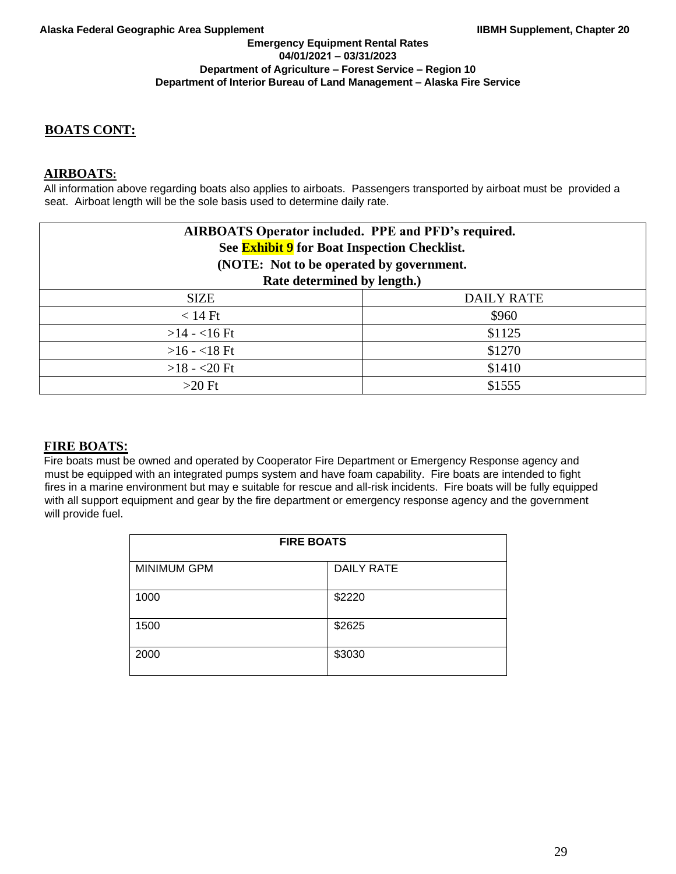# **BOATS CONT:**

# **AIRBOATS:**

All information above regarding boats also applies to airboats. Passengers transported by airboat must be provided a seat. Airboat length will be the sole basis used to determine daily rate.

| <b>AIRBOATS Operator included. PPE and PFD's required.</b><br>See <b>Exhibit 9</b> for Boat Inspection Checklist.<br>(NOTE: Not to be operated by government. |                   |  |  |
|---------------------------------------------------------------------------------------------------------------------------------------------------------------|-------------------|--|--|
| Rate determined by length.)                                                                                                                                   |                   |  |  |
| <b>SIZE</b>                                                                                                                                                   | <b>DAILY RATE</b> |  |  |
| $< 14$ Ft                                                                                                                                                     | \$960             |  |  |
| $>14 - 16$ Ft                                                                                                                                                 | \$1125            |  |  |
| $>16 - 18$ Ft                                                                                                                                                 | \$1270            |  |  |
| $>18 - 20$ Ft                                                                                                                                                 | \$1410            |  |  |
| $>20$ Ft                                                                                                                                                      | \$1555            |  |  |

# **FIRE BOATS:**

Fire boats must be owned and operated by Cooperator Fire Department or Emergency Response agency and must be equipped with an integrated pumps system and have foam capability. Fire boats are intended to fight fires in a marine environment but may e suitable for rescue and all-risk incidents. Fire boats will be fully equipped with all support equipment and gear by the fire department or emergency response agency and the government will provide fuel.

| <b>FIRE BOATS</b>  |                   |  |  |
|--------------------|-------------------|--|--|
| <b>MINIMUM GPM</b> | <b>DAILY RATE</b> |  |  |
| 1000               | \$2220            |  |  |
| 1500               | \$2625            |  |  |
| 2000               | \$3030            |  |  |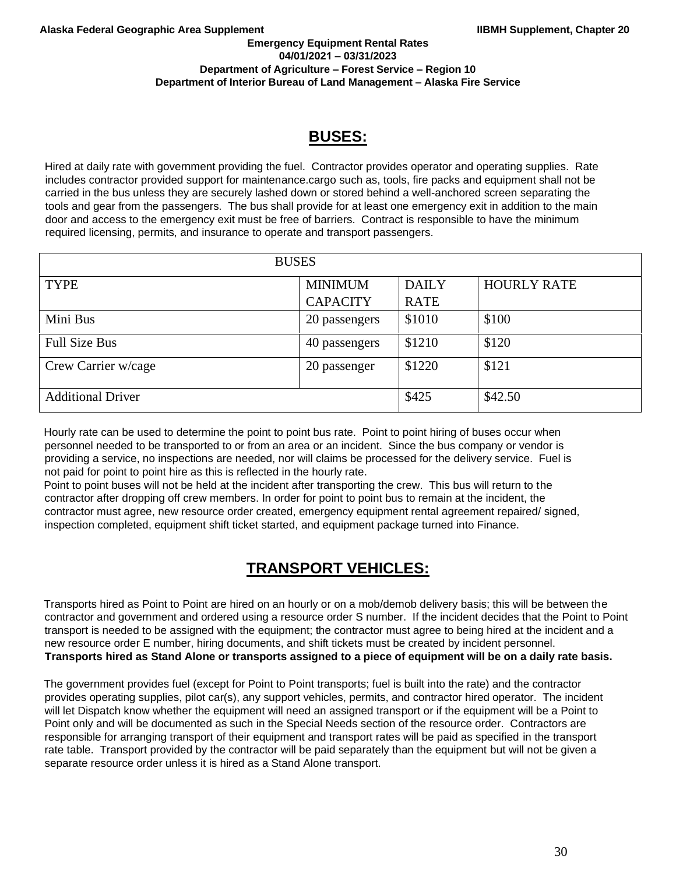#### **Emergency Equipment Rental Rates 04/01/2021 – 03/31/2023 Department of Agriculture – Forest Service – Region 10 Department of Interior Bureau of Land Management – Alaska Fire Service**

# **BUSES:**

Hired at daily rate with government providing the fuel. Contractor provides operator and operating supplies. Rate includes contractor provided support for maintenance.cargo such as, tools, fire packs and equipment shall not be carried in the bus unless they are securely lashed down or stored behind a well-anchored screen separating the tools and gear from the passengers. The bus shall provide for at least one emergency exit in addition to the main door and access to the emergency exit must be free of barriers. Contract is responsible to have the minimum required licensing, permits, and insurance to operate and transport passengers.

| <b>BUSES</b>             |                 |              |                    |
|--------------------------|-----------------|--------------|--------------------|
| <b>TYPE</b>              | <b>MINIMUM</b>  | <b>DAILY</b> | <b>HOURLY RATE</b> |
|                          | <b>CAPACITY</b> | <b>RATE</b>  |                    |
| Mini Bus                 | 20 passengers   | \$1010       | \$100              |
| <b>Full Size Bus</b>     | 40 passengers   | \$1210       | \$120              |
| Crew Carrier w/cage      | 20 passenger    | \$1220       | \$121              |
| <b>Additional Driver</b> |                 | \$425        | \$42.50            |

Hourly rate can be used to determine the point to point bus rate. Point to point hiring of buses occur when personnel needed to be transported to or from an area or an incident. Since the bus company or vendor is providing a service, no inspections are needed, nor will claims be processed for the delivery service. Fuel is not paid for point to point hire as this is reflected in the hourly rate.

Point to point buses will not be held at the incident after transporting the crew. This bus will return to the contractor after dropping off crew members. In order for point to point bus to remain at the incident, the contractor must agree, new resource order created, emergency equipment rental agreement repaired/ signed, inspection completed, equipment shift ticket started, and equipment package turned into Finance.

# **TRANSPORT VEHICLES:**

Transports hired as Point to Point are hired on an hourly or on a mob/demob delivery basis; this will be between the contractor and government and ordered using a resource order S number. If the incident decides that the Point to Point transport is needed to be assigned with the equipment; the contractor must agree to being hired at the incident and a new resource order E number, hiring documents, and shift tickets must be created by incident personnel. **Transports hired as Stand Alone or transports assigned to a piece of equipment will be on a daily rate basis.** 

The government provides fuel (except for Point to Point transports; fuel is built into the rate) and the contractor provides operating supplies, pilot car(s), any support vehicles, permits, and contractor hired operator. The incident will let Dispatch know whether the equipment will need an assigned transport or if the equipment will be a Point to Point only and will be documented as such in the Special Needs section of the resource order. Contractors are responsible for arranging transport of their equipment and transport rates will be paid as specified in the transport rate table. Transport provided by the contractor will be paid separately than the equipment but will not be given a separate resource order unless it is hired as a Stand Alone transport.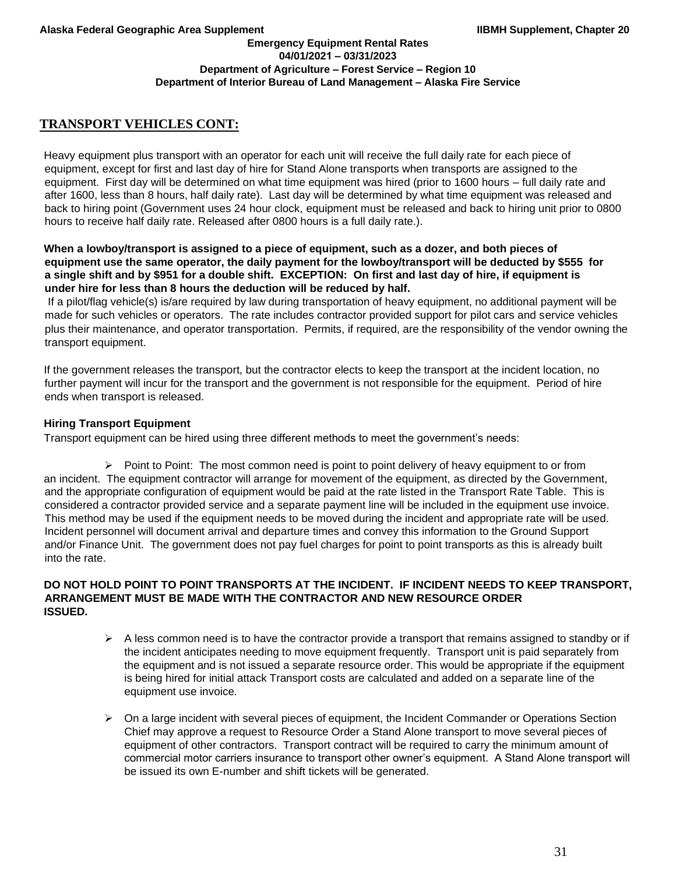# **TRANSPORT VEHICLES CONT:**

Heavy equipment plus transport with an operator for each unit will receive the full daily rate for each piece of equipment, except for first and last day of hire for Stand Alone transports when transports are assigned to the equipment. First day will be determined on what time equipment was hired (prior to 1600 hours – full daily rate and after 1600, less than 8 hours, half daily rate). Last day will be determined by what time equipment was released and back to hiring point (Government uses 24 hour clock, equipment must be released and back to hiring unit prior to 0800 hours to receive half daily rate. Released after 0800 hours is a full daily rate.).

## **When a lowboy/transport is assigned to a piece of equipment, such as a dozer, and both pieces of equipment use the same operator, the daily payment for the lowboy/transport will be deducted by \$555 for a single shift and by \$951 for a double shift. EXCEPTION: On first and last day of hire, if equipment is under hire for less than 8 hours the deduction will be reduced by half.**

If a pilot/flag vehicle(s) is/are required by law during transportation of heavy equipment, no additional payment will be made for such vehicles or operators. The rate includes contractor provided support for pilot cars and service vehicles plus their maintenance, and operator transportation. Permits, if required, are the responsibility of the vendor owning the transport equipment.

If the government releases the transport, but the contractor elects to keep the transport at the incident location, no further payment will incur for the transport and the government is not responsible for the equipment. Period of hire ends when transport is released.

## **Hiring Transport Equipment**

Transport equipment can be hired using three different methods to meet the government's needs:

 $\triangleright$  Point to Point: The most common need is point to point delivery of heavy equipment to or from an incident. The equipment contractor will arrange for movement of the equipment, as directed by the Government, and the appropriate configuration of equipment would be paid at the rate listed in the Transport Rate Table. This is considered a contractor provided service and a separate payment line will be included in the equipment use invoice. This method may be used if the equipment needs to be moved during the incident and appropriate rate will be used. Incident personnel will document arrival and departure times and convey this information to the Ground Support and/or Finance Unit. The government does not pay fuel charges for point to point transports as this is already built into the rate.

## **DO NOT HOLD POINT TO POINT TRANSPORTS AT THE INCIDENT. IF INCIDENT NEEDS TO KEEP TRANSPORT, ARRANGEMENT MUST BE MADE WITH THE CONTRACTOR AND NEW RESOURCE ORDER ISSUED.**

- $\triangleright$  A less common need is to have the contractor provide a transport that remains assigned to standby or if the incident anticipates needing to move equipment frequently. Transport unit is paid separately from the equipment and is not issued a separate resource order. This would be appropriate if the equipment is being hired for initial attack Transport costs are calculated and added on a separate line of the equipment use invoice.
- $\triangleright$  On a large incident with several pieces of equipment, the Incident Commander or Operations Section Chief may approve a request to Resource Order a Stand Alone transport to move several pieces of equipment of other contractors. Transport contract will be required to carry the minimum amount of commercial motor carriers insurance to transport other owner's equipment. A Stand Alone transport will be issued its own E-number and shift tickets will be generated.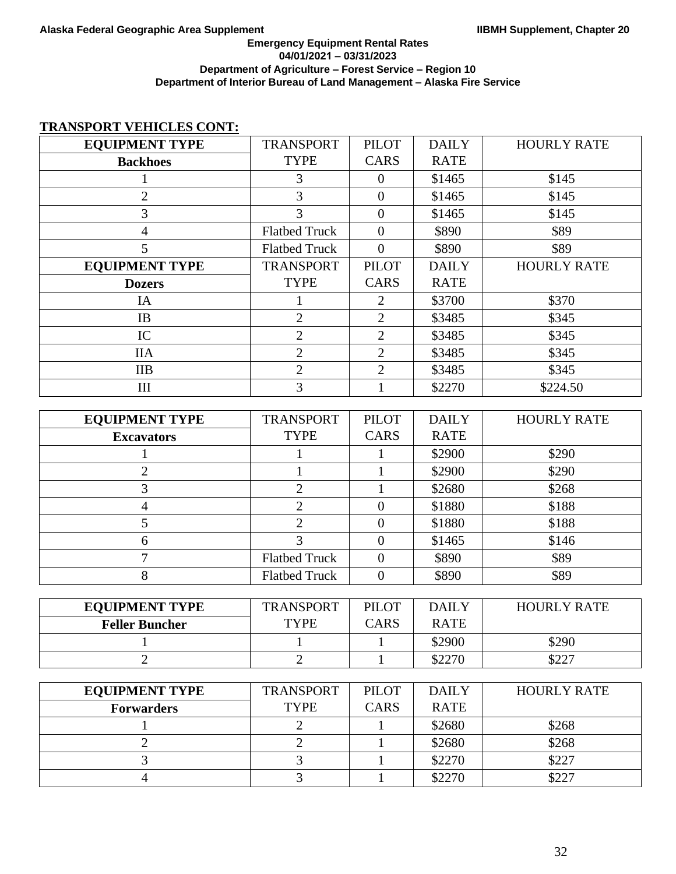## **Emergency Equipment Rental Rates 04/01/2021 – 03/31/2023 Department of Agriculture – Forest Service – Region 10 Department of Interior Bureau of Land Management – Alaska Fire Service**

# **TRANSPORT VEHICLES CONT:**

| <b>EQUIPMENT TYPE</b> | <b>TRANSPORT</b>     | <b>PILOT</b>     | <b>DAILY</b> | <b>HOURLY RATE</b> |
|-----------------------|----------------------|------------------|--------------|--------------------|
| <b>Backhoes</b>       | <b>TYPE</b>          | <b>CARS</b>      | <b>RATE</b>  |                    |
| 1                     | 3                    | $\boldsymbol{0}$ | \$1465       | \$145              |
| $\overline{2}$        | 3                    | $\overline{0}$   | \$1465       | \$145              |
| 3                     | $\overline{3}$       | $\boldsymbol{0}$ | \$1465       | \$145              |
| $\overline{4}$        | <b>Flatbed Truck</b> | $\overline{0}$   | \$890        | \$89               |
| 5                     | <b>Flatbed Truck</b> | $\overline{0}$   | \$890        | \$89               |
| <b>EQUIPMENT TYPE</b> | <b>TRANSPORT</b>     | <b>PILOT</b>     | <b>DAILY</b> | <b>HOURLY RATE</b> |
| <b>Dozers</b>         | <b>TYPE</b>          | <b>CARS</b>      | <b>RATE</b>  |                    |
| IA                    | $\mathbf{1}$         | $\mathbf{2}$     | \$3700       | \$370              |
| IB                    | $\overline{2}$       | $\overline{2}$   | \$3485       | \$345              |
| IC                    | $\mathbf{2}$         | $\sqrt{2}$       | \$3485       | \$345              |
| <b>IIA</b>            | $\overline{2}$       | $\overline{2}$   | \$3485       | \$345              |
| IIB                   | $\overline{2}$       | $\mathbf{2}$     | \$3485       | \$345              |
| III                   | 3                    | $\mathbf{1}$     | \$2270       | \$224.50           |
|                       |                      |                  |              |                    |
| <b>EQUIPMENT TYPE</b> | <b>TRANSPORT</b>     | <b>PILOT</b>     | <b>DAILY</b> | <b>HOURLY RATE</b> |
| <b>Excavators</b>     | <b>TYPE</b>          | <b>CARS</b>      | <b>RATE</b>  |                    |
| 1                     | $\mathbf{1}$         | $\mathbf{1}$     | \$2900       | \$290              |
| $\overline{2}$        | $\mathbf{1}$         | $\mathbf{1}$     | \$2900       | \$290              |
| 3                     | $\overline{2}$       | $\mathbf{1}$     | \$2680       | \$268              |
| $\overline{4}$        | $\overline{2}$       | $\boldsymbol{0}$ | \$1880       | \$188              |
| 5                     | $\overline{2}$       | $\overline{0}$   | \$1880       | \$188              |
| 6                     | 3                    | $\boldsymbol{0}$ | \$1465       | \$146              |
| $\overline{7}$        | <b>Flatbed Truck</b> | $\boldsymbol{0}$ | \$890        | \$89               |
| 8                     | <b>Flatbed Truck</b> | $\boldsymbol{0}$ | \$890        | \$89               |
|                       |                      |                  |              |                    |
| <b>EQUIPMENT TYPE</b> | <b>TRANSPORT</b>     | <b>PILOT</b>     | <b>DAILY</b> | <b>HOURLY RATE</b> |
| <b>Feller Buncher</b> | <b>TYPE</b>          | <b>CARS</b>      | <b>RATE</b>  |                    |
| 1                     | $\mathbf{1}$         | $\mathbf{1}$     | \$2900       | \$290              |
| $\overline{2}$        | $\overline{2}$       | $\mathbf{1}$     | \$2270       | \$227              |
|                       |                      |                  |              |                    |
| <b>EQUIPMENT TYPE</b> | <b>TRANSPORT</b>     | <b>PILOT</b>     | <b>DAILY</b> | <b>HOURLY RATE</b> |
| <b>Forwarders</b>     | <b>TYPE</b>          | <b>CARS</b>      | <b>RATE</b>  |                    |
| 1                     | $\overline{c}$       | $\mathbf{1}$     | \$2680       | \$268              |
| $\overline{2}$        | $\overline{2}$       | $\mathbf{1}$     | \$2680       | \$268              |
| 3                     | 3                    | $\mathbf{1}$     | \$2270       | \$227              |
| $\overline{4}$        | 3                    | $\mathbf{1}$     | \$2270       | \$227              |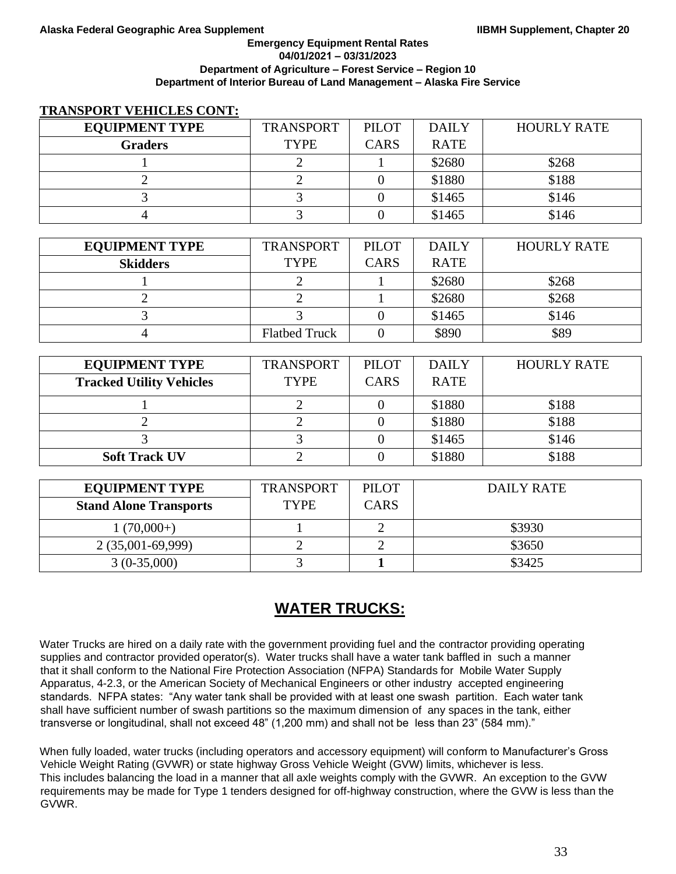#### **Emergency Equipment Rental Rates 04/01/2021 – 03/31/2023 Department of Agriculture – Forest Service – Region 10 Department of Interior Bureau of Land Management – Alaska Fire Service**

## **TRANSPORT VEHICLES CONT:**

| <b>EQUIPMENT TYPE</b> | <b>TRANSPORT</b> | <b>PILOT</b> | <b>DAILY</b> | <b>HOURLY RATE</b> |
|-----------------------|------------------|--------------|--------------|--------------------|
| <b>Graders</b>        | <b>TYPE</b>      | <b>CARS</b>  | <b>RATE</b>  |                    |
|                       |                  |              | \$2680       | \$268              |
|                       |                  |              | \$1880       | \$188              |
|                       |                  |              | \$1465       | \$146              |
|                       |                  |              | \$1465       | \$146              |

| <b>EQUIPMENT TYPE</b> | <b>TRANSPORT</b>     | <b>PILOT</b> | <b>DAILY</b> | <b>HOURLY RATE</b> |
|-----------------------|----------------------|--------------|--------------|--------------------|
| <b>Skidders</b>       | <b>TYPE</b>          | <b>CARS</b>  | <b>RATE</b>  |                    |
|                       |                      |              | \$2680       | \$268              |
|                       |                      |              | \$2680       | \$268              |
|                       |                      |              | \$1465       | \$146              |
|                       | <b>Flatbed Truck</b> |              | \$890        | \$89               |

| <b>EQUIPMENT TYPE</b>           | <b>TRANSPORT</b> | <b>PILOT</b> | <b>DAILY</b> | <b>HOURLY RATE</b> |
|---------------------------------|------------------|--------------|--------------|--------------------|
| <b>Tracked Utility Vehicles</b> | <b>TYPE</b>      | <b>CARS</b>  | <b>RATE</b>  |                    |
|                                 |                  |              | \$1880       | \$188              |
|                                 |                  |              | \$1880       | \$188              |
|                                 |                  |              | \$1465       | \$146              |
| <b>Soft Track UV</b>            |                  |              | \$1880       | \$188              |

| <b>EQUIPMENT TYPE</b>         | <b>TRANSPORT</b> | <b>PILOT</b> | DAILY RATE |
|-------------------------------|------------------|--------------|------------|
| <b>Stand Alone Transports</b> | <b>TYPE</b>      | <b>CARS</b>  |            |
| $1(70,000+)$                  |                  |              | \$3930     |
| $2(35,001-69,999)$            |                  |              | \$3650     |
| $3(0-35,000)$                 |                  |              | \$3425     |

# **WATER TRUCKS:**

Water Trucks are hired on a daily rate with the government providing fuel and the contractor providing operating supplies and contractor provided operator(s). Water trucks shall have a water tank baffled in such a manner that it shall conform to the National Fire Protection Association (NFPA) Standards for Mobile Water Supply Apparatus, 4-2.3, or the American Society of Mechanical Engineers or other industry accepted engineering standards. NFPA states: "Any water tank shall be provided with at least one swash partition. Each water tank shall have sufficient number of swash partitions so the maximum dimension of any spaces in the tank, either transverse or longitudinal, shall not exceed 48" (1,200 mm) and shall not be less than 23" (584 mm)."

When fully loaded, water trucks (including operators and accessory equipment) will conform to Manufacturer's Gross Vehicle Weight Rating (GVWR) or state highway Gross Vehicle Weight (GVW) limits, whichever is less. This includes balancing the load in a manner that all axle weights comply with the GVWR. An exception to the GVW requirements may be made for Type 1 tenders designed for off-highway construction, where the GVW is less than the GVWR.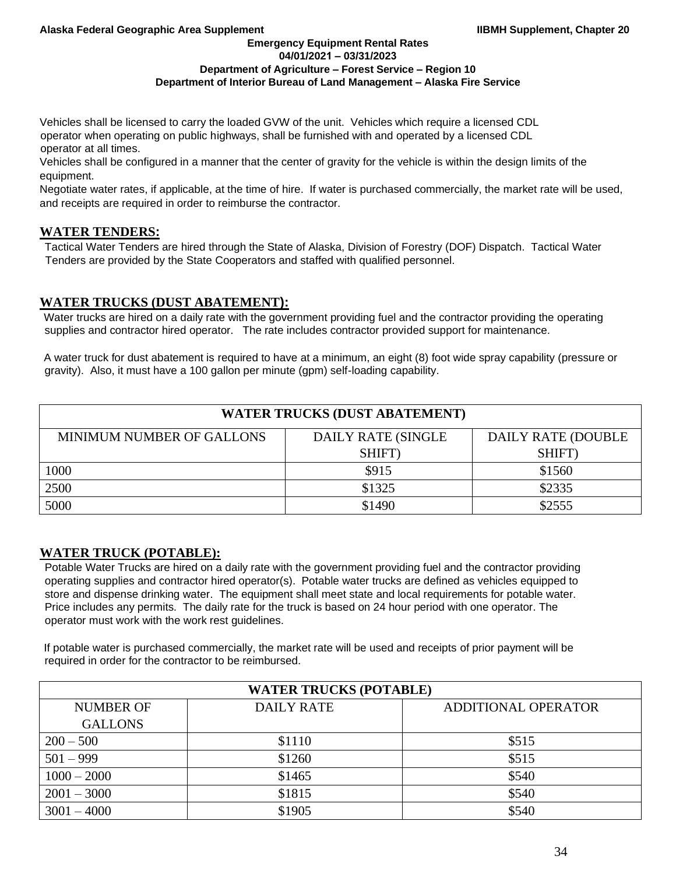**Emergency Equipment Rental Rates 04/01/2021 – 03/31/2023**

## **Department of Agriculture – Forest Service – Region 10**

## **Department of Interior Bureau of Land Management – Alaska Fire Service**

Vehicles shall be licensed to carry the loaded GVW of the unit. Vehicles which require a licensed CDL operator when operating on public highways, shall be furnished with and operated by a licensed CDL operator at all times.

Vehicles shall be configured in a manner that the center of gravity for the vehicle is within the design limits of the equipment.

Negotiate water rates, if applicable, at the time of hire. If water is purchased commercially, the market rate will be used, and receipts are required in order to reimburse the contractor.

## **WATER TENDERS:**

Tactical Water Tenders are hired through the State of Alaska, Division of Forestry (DOF) Dispatch. Tactical Water Tenders are provided by the State Cooperators and staffed with qualified personnel.

# **WATER TRUCKS (DUST ABATEMENT):**

Water trucks are hired on a daily rate with the government providing fuel and the contractor providing the operating supplies and contractor hired operator. The rate includes contractor provided support for maintenance.

A water truck for dust abatement is required to have at a minimum, an eight (8) foot wide spray capability (pressure or gravity). Also, it must have a 100 gallon per minute (gpm) self-loading capability.

| <b>WATER TRUCKS (DUST ABATEMENT)</b> |                            |                           |  |
|--------------------------------------|----------------------------|---------------------------|--|
| <b>MINIMUM NUMBER OF GALLONS</b>     | <b>DAILY RATE (SINGLE)</b> | <b>DAILY RATE (DOUBLE</b> |  |
|                                      | SHIFT)                     | SHIFT)                    |  |
| 1000                                 | \$915                      | \$1560                    |  |
| 2500                                 | \$1325                     | \$2335                    |  |
| 5000                                 | \$1490                     | \$2555                    |  |

# **WATER TRUCK (POTABLE):**

Potable Water Trucks are hired on a daily rate with the government providing fuel and the contractor providing operating supplies and contractor hired operator(s). Potable water trucks are defined as vehicles equipped to store and dispense drinking water. The equipment shall meet state and local requirements for potable water. Price includes any permits. The daily rate for the truck is based on 24 hour period with one operator. The operator must work with the work rest guidelines.

If potable water is purchased commercially, the market rate will be used and receipts of prior payment will be required in order for the contractor to be reimbursed.

| <b>WATER TRUCKS (POTABLE)</b> |                   |                     |  |
|-------------------------------|-------------------|---------------------|--|
| <b>NUMBER OF</b>              | <b>DAILY RATE</b> | ADDITIONAL OPERATOR |  |
| <b>GALLONS</b>                |                   |                     |  |
| $200 - 500$                   | \$1110            | \$515               |  |
| $501 - 999$                   | \$1260            | \$515               |  |
| $1000 - 2000$                 | \$1465            | \$540               |  |
| $2001 - 3000$                 | \$1815            | \$540               |  |
| $3001 - 4000$                 | \$1905            | \$540               |  |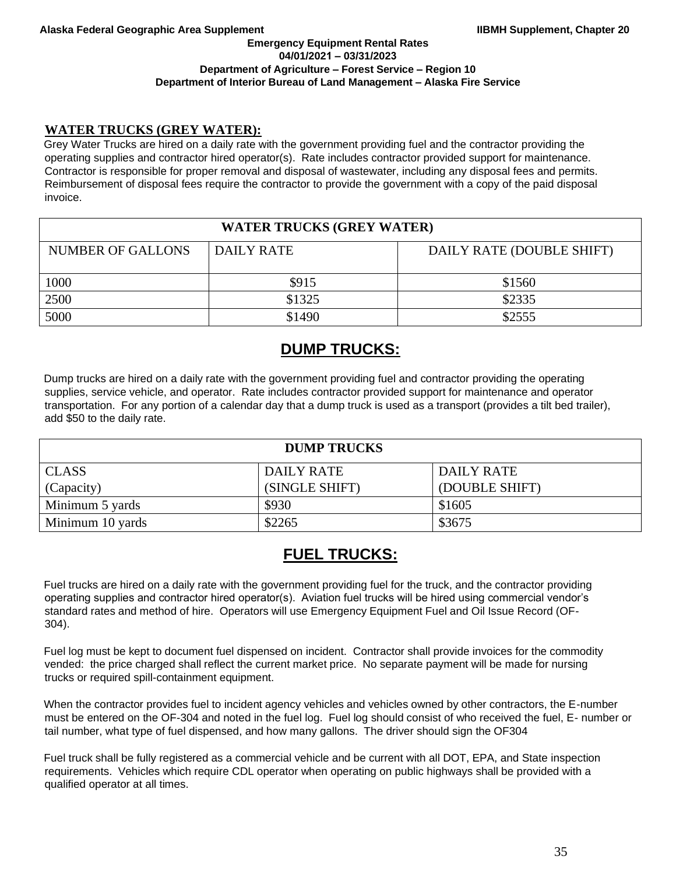### **Emergency Equipment Rental Rates 04/01/2021 – 03/31/2023 Department of Agriculture – Forest Service – Region 10 Department of Interior Bureau of Land Management – Alaska Fire Service**

## **WATER TRUCKS (GREY WATER):**

Grey Water Trucks are hired on a daily rate with the government providing fuel and the contractor providing the operating supplies and contractor hired operator(s). Rate includes contractor provided support for maintenance. Contractor is responsible for proper removal and disposal of wastewater, including any disposal fees and permits. Reimbursement of disposal fees require the contractor to provide the government with a copy of the paid disposal invoice.

| <b>WATER TRUCKS (GREY WATER)</b> |            |                           |  |
|----------------------------------|------------|---------------------------|--|
| <b>NUMBER OF GALLONS</b>         | DAILY RATE | DAILY RATE (DOUBLE SHIFT) |  |
|                                  |            |                           |  |
| 1000                             | \$915      | \$1560                    |  |
| 2500                             | \$1325     | \$2335                    |  |
| 5000                             | \$1490     | \$2555                    |  |

# **DUMP TRUCKS:**

Dump trucks are hired on a daily rate with the government providing fuel and contractor providing the operating supplies, service vehicle, and operator. Rate includes contractor provided support for maintenance and operator transportation. For any portion of a calendar day that a dump truck is used as a transport (provides a tilt bed trailer), add \$50 to the daily rate.

| <b>DUMP TRUCKS</b> |                |                |  |  |
|--------------------|----------------|----------------|--|--|
| <b>CLASS</b>       | DAILY RATE     | DAILY RATE     |  |  |
| (Capacity)         | (SINGLE SHIFT) | (DOUBLE SHIFT) |  |  |
| Minimum 5 yards    | \$930          | \$1605         |  |  |
| Minimum 10 yards   | \$2265         | \$3675         |  |  |

# **FUEL TRUCKS:**

Fuel trucks are hired on a daily rate with the government providing fuel for the truck, and the contractor providing operating supplies and contractor hired operator(s). Aviation fuel trucks will be hired using commercial vendor's standard rates and method of hire. Operators will use Emergency Equipment Fuel and Oil Issue Record (OF-304).

Fuel log must be kept to document fuel dispensed on incident. Contractor shall provide invoices for the commodity vended: the price charged shall reflect the current market price. No separate payment will be made for nursing trucks or required spill-containment equipment.

When the contractor provides fuel to incident agency vehicles and vehicles owned by other contractors, the E-number must be entered on the OF-304 and noted in the fuel log. Fuel log should consist of who received the fuel, E- number or tail number, what type of fuel dispensed, and how many gallons. The driver should sign the OF304

Fuel truck shall be fully registered as a commercial vehicle and be current with all DOT, EPA, and State inspection requirements. Vehicles which require CDL operator when operating on public highways shall be provided with a qualified operator at all times.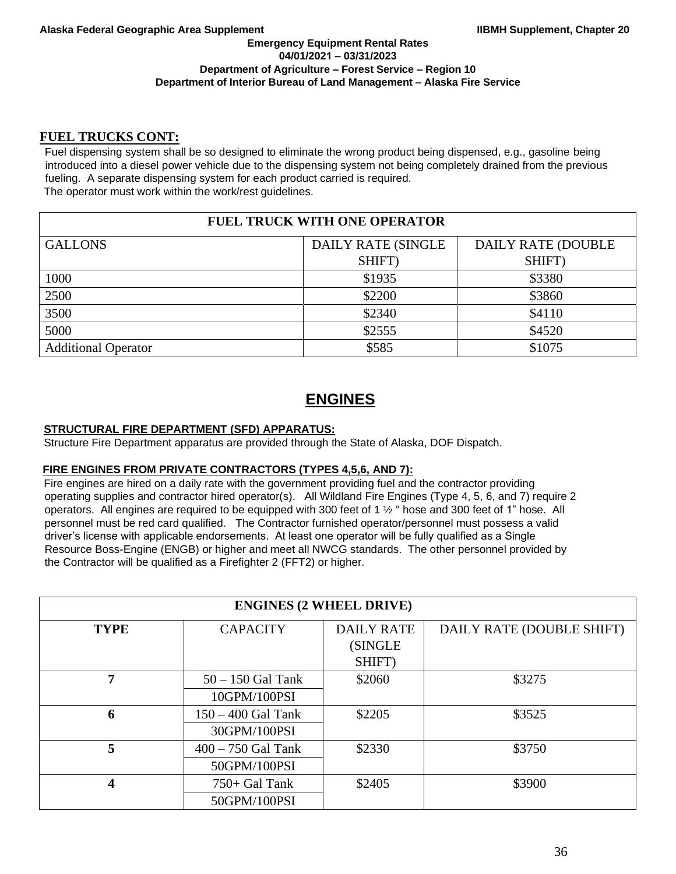## **FUEL TRUCKS CONT:**

Fuel dispensing system shall be so designed to eliminate the wrong product being dispensed, e.g., gasoline being introduced into a diesel power vehicle due to the dispensing system not being completely drained from the previous fueling. A separate dispensing system for each product carried is required. The operator must work within the work/rest guidelines.

# **FUEL TRUCK WITH ONE OPERATOR**

| <b>GALLONS</b>             | DAILY RATE (SINGLE | DAILY RATE (DOUBLE |
|----------------------------|--------------------|--------------------|
|                            | SHIFT)             | SHIFT)             |
| 1000                       | \$1935             | \$3380             |
| 2500                       | \$2200             | \$3860             |
| 3500                       | \$2340             | \$4110             |
| 5000                       | \$2555             | \$4520             |
| <b>Additional Operator</b> | \$585              | \$1075             |

# **ENGINES**

## **STRUCTURAL FIRE DEPARTMENT (SFD) APPARATUS:**

Structure Fire Department apparatus are provided through the State of Alaska, DOF Dispatch.

### **FIRE ENGINES FROM PRIVATE CONTRACTORS (TYPES 4,5,6, AND 7):**

Fire engines are hired on a daily rate with the government providing fuel and the contractor providing operating supplies and contractor hired operator(s). All Wildland Fire Engines (Type 4, 5, 6, and 7) require 2 operators. All engines are required to be equipped with 300 feet of 1 ½ " hose and 300 feet of 1" hose. All personnel must be red card qualified. The Contractor furnished operator/personnel must possess a valid driver's license with applicable endorsements. At least one operator will be fully qualified as a Single Resource Boss-Engine (ENGB) or higher and meet all NWCG standards. The other personnel provided by the Contractor will be qualified as a Firefighter 2 (FFT2) or higher.

| <b>ENGINES (2 WHEEL DRIVE)</b> |                      |                   |                           |  |
|--------------------------------|----------------------|-------------------|---------------------------|--|
| <b>TYPE</b>                    | <b>CAPACITY</b>      | <b>DAILY RATE</b> | DAILY RATE (DOUBLE SHIFT) |  |
|                                |                      | (SINGLE           |                           |  |
|                                |                      | SHIFT)            |                           |  |
| 7                              | $50 - 150$ Gal Tank  | \$2060            | \$3275                    |  |
|                                | 10GPM/100PSI         |                   |                           |  |
| 6                              | $150 - 400$ Gal Tank | \$2205            | \$3525                    |  |
|                                | 30GPM/100PSI         |                   |                           |  |
| 5                              | $400 - 750$ Gal Tank | \$2330            | \$3750                    |  |
|                                | 50GPM/100PSI         |                   |                           |  |
| 4                              | $750+$ Gal Tank      | \$2405            | \$3900                    |  |
|                                | 50GPM/100PSI         |                   |                           |  |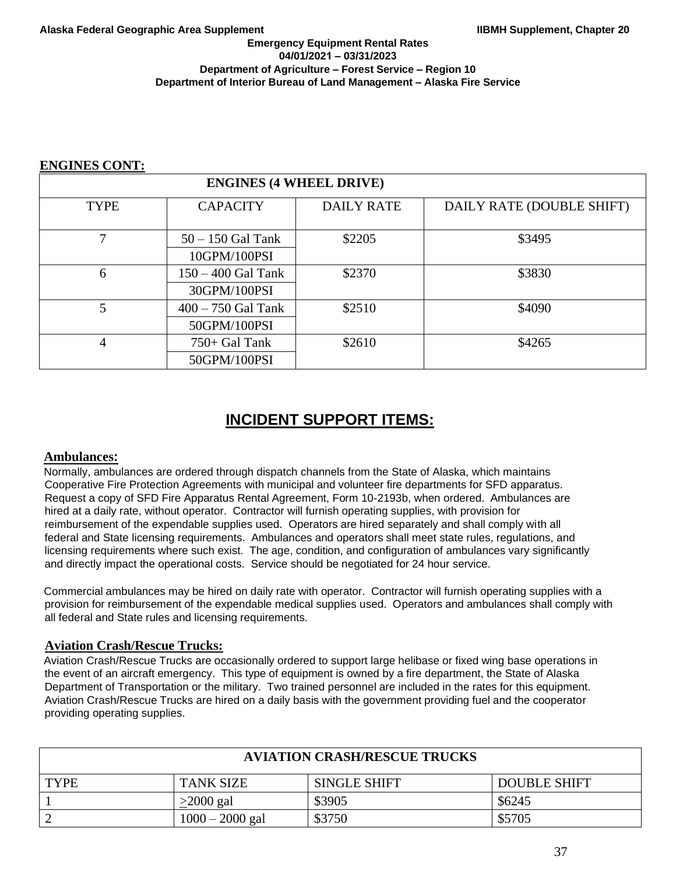## **ENGINES CONT:**

| <b>ENGINES (4 WHEEL DRIVE)</b> |                                      |                   |                           |
|--------------------------------|--------------------------------------|-------------------|---------------------------|
| <b>TYPE</b>                    | <b>CAPACITY</b>                      | <b>DAILY RATE</b> | DAILY RATE (DOUBLE SHIFT) |
|                                | $50 - 150$ Gal Tank<br>10GPM/100PSI  | \$2205            | \$3495                    |
| 6                              | $150 - 400$ Gal Tank<br>30GPM/100PSI | \$2370            | \$3830                    |
| 5                              | $400 - 750$ Gal Tank<br>50GPM/100PSI | \$2510            | \$4090                    |
| 4                              | $750+$ Gal Tank<br>50GPM/100PSI      | \$2610            | \$4265                    |

# **INCIDENT SUPPORT ITEMS:**

## **Ambulances:**

Normally, ambulances are ordered through dispatch channels from the State of Alaska, which maintains Cooperative Fire Protection Agreements with municipal and volunteer fire departments for SFD apparatus. Request a copy of SFD Fire Apparatus Rental Agreement, Form 10-2193b, when ordered. Ambulances are hired at a daily rate, without operator. Contractor will furnish operating supplies, with provision for reimbursement of the expendable supplies used. Operators are hired separately and shall comply with all federal and State licensing requirements. Ambulances and operators shall meet state rules, regulations, and licensing requirements where such exist. The age, condition, and configuration of ambulances vary significantly and directly impact the operational costs. Service should be negotiated for 24 hour service.

Commercial ambulances may be hired on daily rate with operator. Contractor will furnish operating supplies with a provision for reimbursement of the expendable medical supplies used. Operators and ambulances shall comply with all federal and State rules and licensing requirements.

# **Aviation Crash/Rescue Trucks:**

Aviation Crash/Rescue Trucks are occasionally ordered to support large helibase or fixed wing base operations in the event of an aircraft emergency. This type of equipment is owned by a fire department, the State of Alaska Department of Transportation or the military. Two trained personnel are included in the rates for this equipment. Aviation Crash/Rescue Trucks are hired on a daily basis with the government providing fuel and the cooperator providing operating supplies.

| <b>AVIATION CRASH/RESCUE TRUCKS</b>   |                  |                     |                     |  |  |
|---------------------------------------|------------------|---------------------|---------------------|--|--|
| <b>TYPE</b>                           | <b>TANK SIZE</b> | <b>SINGLE SHIFT</b> | <b>DOUBLE SHIFT</b> |  |  |
|                                       | $>2000$ gal      | \$3905              | \$6245              |  |  |
| \$3750<br>$1000 - 2000$ gal<br>\$5705 |                  |                     |                     |  |  |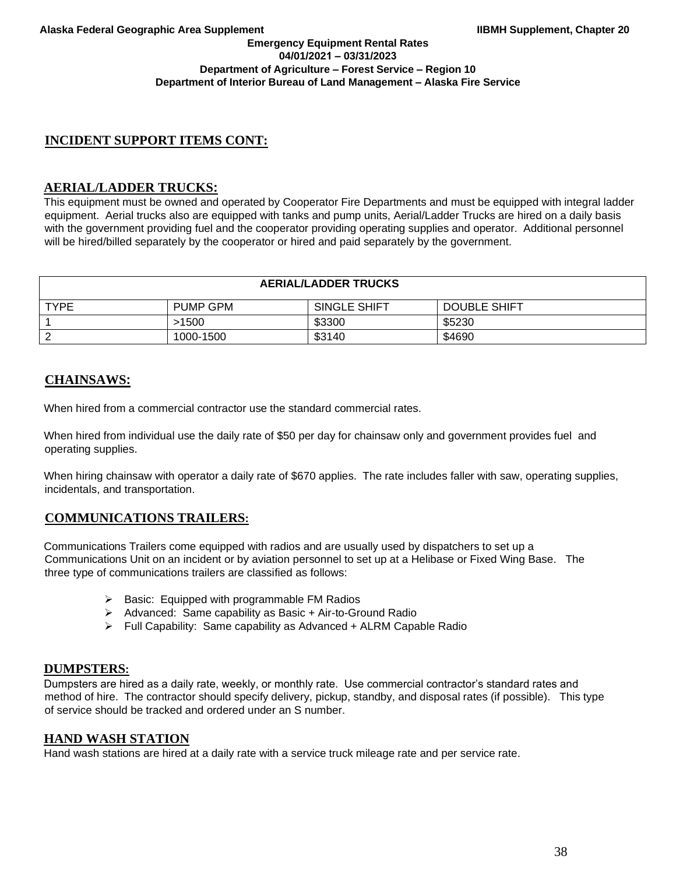## **Emergency Equipment Rental Rates 04/01/2021 – 03/31/2023 Department of Agriculture – Forest Service – Region 10 Department of Interior Bureau of Land Management – Alaska Fire Service**

# **INCIDENT SUPPORT ITEMS CONT:**

# **AERIAL/LADDER TRUCKS:**

This equipment must be owned and operated by Cooperator Fire Departments and must be equipped with integral ladder equipment. Aerial trucks also are equipped with tanks and pump units, Aerial/Ladder Trucks are hired on a daily basis with the government providing fuel and the cooperator providing operating supplies and operator. Additional personnel will be hired/billed separately by the cooperator or hired and paid separately by the government.

| <b>AERIAL/LADDER TRUCKS</b> |                 |              |                     |
|-----------------------------|-----------------|--------------|---------------------|
| <b>TYPE</b>                 | <b>PUMP GPM</b> | SINGLE SHIFT | <b>DOUBLE SHIFT</b> |
|                             | >1500           | \$3300       | \$5230              |
|                             | 1000-1500       | \$3140       | \$4690              |

# **CHAINSAWS:**

When hired from a commercial contractor use the standard commercial rates.

When hired from individual use the daily rate of \$50 per day for chainsaw only and government provides fuel and operating supplies.

When hiring chainsaw with operator a daily rate of \$670 applies. The rate includes faller with saw, operating supplies, incidentals, and transportation.

# **COMMUNICATIONS TRAILERS:**

Communications Trailers come equipped with radios and are usually used by dispatchers to set up a Communications Unit on an incident or by aviation personnel to set up at a Helibase or Fixed Wing Base. The three type of communications trailers are classified as follows:

- ➢ Basic: Equipped with programmable FM Radios
- ➢ Advanced: Same capability as Basic + Air-to-Ground Radio
- ➢ Full Capability: Same capability as Advanced + ALRM Capable Radio

# **DUMPSTERS:**

Dumpsters are hired as a daily rate, weekly, or monthly rate. Use commercial contractor's standard rates and method of hire. The contractor should specify delivery, pickup, standby, and disposal rates (if possible). This type of service should be tracked and ordered under an S number.

# **HAND WASH STATION**

Hand wash stations are hired at a daily rate with a service truck mileage rate and per service rate.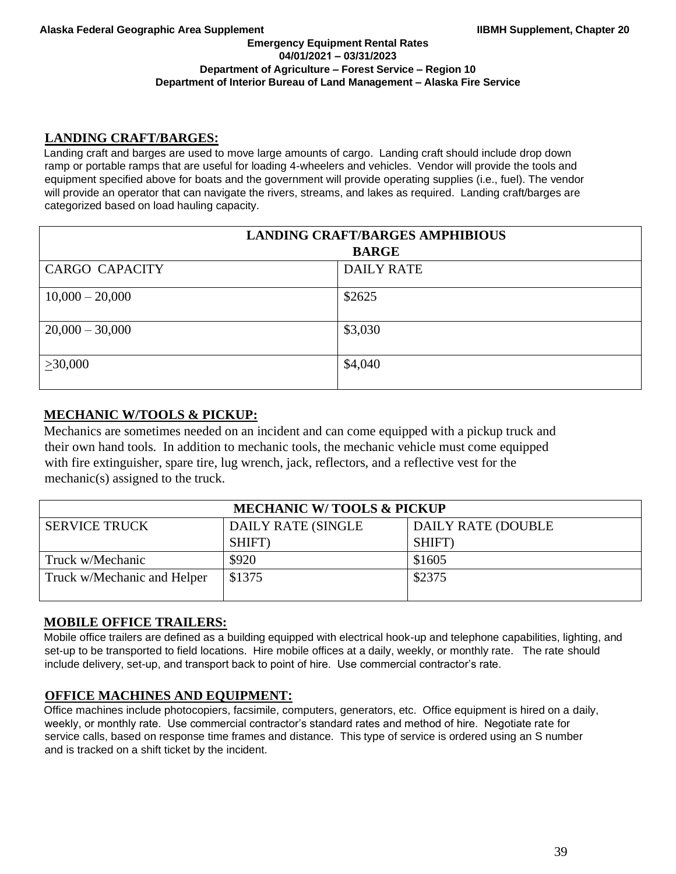### **Emergency Equipment Rental Rates 04/01/2021 – 03/31/2023 Department of Agriculture – Forest Service – Region 10 Department of Interior Bureau of Land Management – Alaska Fire Service**

# **LANDING CRAFT/BARGES:**

Landing craft and barges are used to move large amounts of cargo. Landing craft should include drop down ramp or portable ramps that are useful for loading 4-wheelers and vehicles. Vendor will provide the tools and equipment specified above for boats and the government will provide operating supplies (i.e., fuel). The vendor will provide an operator that can navigate the rivers, streams, and lakes as required. Landing craft/barges are categorized based on load hauling capacity.

| <b>LANDING CRAFT/BARGES AMPHIBIOUS</b> |                   |  |
|----------------------------------------|-------------------|--|
|                                        | <b>BARGE</b>      |  |
| <b>CARGO CAPACITY</b>                  | <b>DAILY RATE</b> |  |
| $10,000 - 20,000$                      | \$2625            |  |
| $20,000 - 30,000$                      | \$3,030           |  |
| >30,000                                | \$4,040           |  |

# **MECHANIC W/TOOLS & PICKUP:**

Mechanics are sometimes needed on an incident and can come equipped with a pickup truck and their own hand tools. In addition to mechanic tools, the mechanic vehicle must come equipped with fire extinguisher, spare tire, lug wrench, jack, reflectors, and a reflective vest for the mechanic(s) assigned to the truck.

| <b>MECHANIC W/TOOLS &amp; PICKUP</b> |                    |                    |  |
|--------------------------------------|--------------------|--------------------|--|
| <b>SERVICE TRUCK</b>                 | DAILY RATE (SINGLE | DAILY RATE (DOUBLE |  |
|                                      | SHIFT)             | SHIFT)             |  |
| Truck w/Mechanic                     | \$920              | \$1605             |  |
| Truck w/Mechanic and Helper          | \$1375             | \$2375             |  |

# **MOBILE OFFICE TRAILERS:**

Mobile office trailers are defined as a building equipped with electrical hook-up and telephone capabilities, lighting, and set-up to be transported to field locations. Hire mobile offices at a daily, weekly, or monthly rate. The rate should include delivery, set-up, and transport back to point of hire. Use commercial contractor's rate.

# **OFFICE MACHINES AND EQUIPMENT:**

Office machines include photocopiers, facsimile, computers, generators, etc. Office equipment is hired on a daily, weekly, or monthly rate. Use commercial contractor's standard rates and method of hire. Negotiate rate for service calls, based on response time frames and distance. This type of service is ordered using an S number and is tracked on a shift ticket by the incident.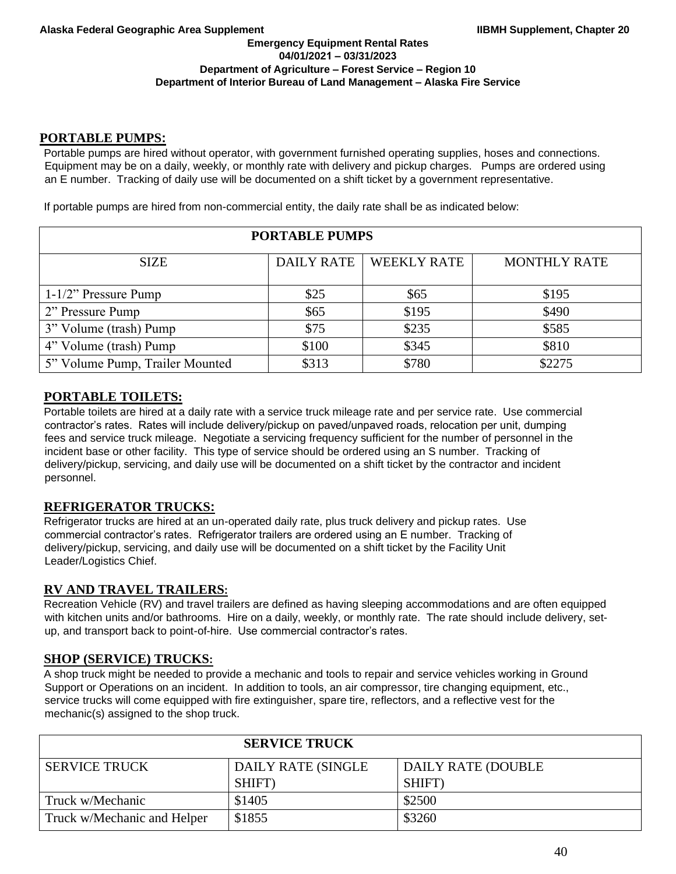## **PORTABLE PUMPS:**

Portable pumps are hired without operator, with government furnished operating supplies, hoses and connections. Equipment may be on a daily, weekly, or monthly rate with delivery and pickup charges. Pumps are ordered using an E number. Tracking of daily use will be documented on a shift ticket by a government representative.

If portable pumps are hired from non-commercial entity, the daily rate shall be as indicated below:

| <b>PORTABLE PUMPS</b>           |                   |                    |                     |
|---------------------------------|-------------------|--------------------|---------------------|
| <b>SIZE</b>                     | <b>DAILY RATE</b> | <b>WEEKLY RATE</b> | <b>MONTHLY RATE</b> |
| $1-1/2$ " Pressure Pump         | \$25              | \$65               | \$195               |
| 2" Pressure Pump                | \$65              | \$195              | \$490               |
| 3" Volume (trash) Pump          | \$75              | \$235              | \$585               |
| 4" Volume (trash) Pump          | \$100             | \$345              | \$810               |
| 5" Volume Pump, Trailer Mounted | \$313             | \$780              | \$2275              |

# **PORTABLE TOILETS:**

Portable toilets are hired at a daily rate with a service truck mileage rate and per service rate. Use commercial contractor's rates. Rates will include delivery/pickup on paved/unpaved roads, relocation per unit, dumping fees and service truck mileage. Negotiate a servicing frequency sufficient for the number of personnel in the incident base or other facility. This type of service should be ordered using an S number. Tracking of delivery/pickup, servicing, and daily use will be documented on a shift ticket by the contractor and incident personnel.

# **REFRIGERATOR TRUCKS:**

Refrigerator trucks are hired at an un-operated daily rate, plus truck delivery and pickup rates. Use commercial contractor's rates. Refrigerator trailers are ordered using an E number. Tracking of delivery/pickup, servicing, and daily use will be documented on a shift ticket by the Facility Unit Leader/Logistics Chief.

# **RV AND TRAVEL TRAILERS:**

Recreation Vehicle (RV) and travel trailers are defined as having sleeping accommodations and are often equipped with kitchen units and/or bathrooms. Hire on a daily, weekly, or monthly rate. The rate should include delivery, setup, and transport back to point-of-hire. Use commercial contractor's rates.

# **SHOP (SERVICE) TRUCKS:**

A shop truck might be needed to provide a mechanic and tools to repair and service vehicles working in Ground Support or Operations on an incident. In addition to tools, an air compressor, tire changing equipment, etc., service trucks will come equipped with fire extinguisher, spare tire, reflectors, and a reflective vest for the mechanic(s) assigned to the shop truck.

| <b>SERVICE TRUCK</b>        |                           |                    |  |
|-----------------------------|---------------------------|--------------------|--|
| <b>SERVICE TRUCK</b>        | <b>DAILY RATE (SINGLE</b> | DAILY RATE (DOUBLE |  |
|                             | SHIFT)                    | SHIFT)             |  |
| Truck w/Mechanic            | \$1405                    | \$2500             |  |
| Truck w/Mechanic and Helper | \$1855                    | \$3260             |  |